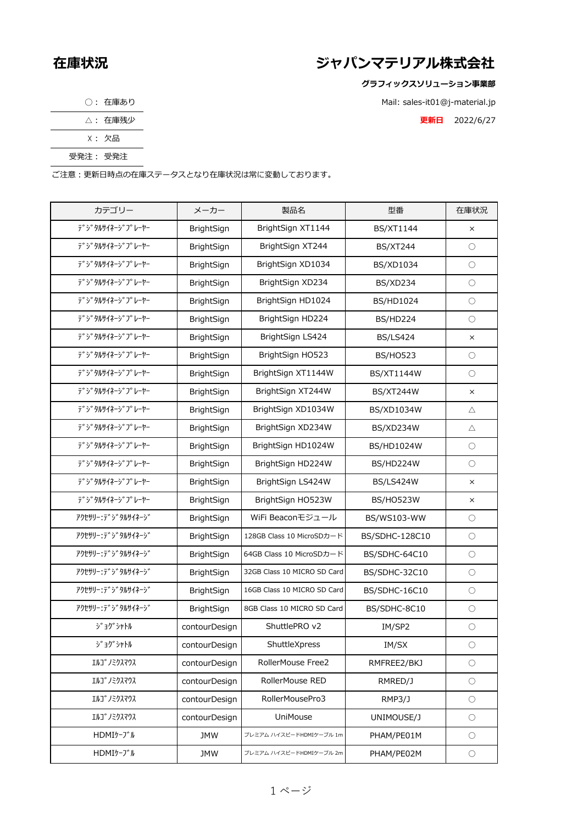## **在庫状況 ジャパンマテリアル株式会社**

**グラフィックスソリューション事業部**

Mail: sales-it01@j-material.jp

△: 在庫残少 **更新日** 2022/6/27

| 在庫あり |
|------|
|------|

| . | 在庫残少 |
|---|------|
|---|------|

☓: 欠品

受発注: 受発注

ご注意:更新日時点の在庫ステータスとなり在庫状況は常に変動しております。

| カテゴリー                                                         | メーカー          | 製品名                         | 型番               | 在庫状況       |
|---------------------------------------------------------------|---------------|-----------------------------|------------------|------------|
| デジタルサイネージプレーヤー                                                | BrightSign    | BrightSign XT1144           | <b>BS/XT1144</b> | $\times$   |
| デジタルサイネージプレーヤー                                                | BrightSign    | BrightSign XT244            | <b>BS/XT244</b>  | $\bigcirc$ |
| <b>デ゚シ゚タルサイネーシ゚プレーヤー</b>                                      | BrightSign    | BrightSign XD1034           | BS/XD1034        | $\bigcirc$ |
| デジタルサイネージプレーヤー                                                | BrightSign    | BrightSign XD234            | <b>BS/XD234</b>  | $\bigcirc$ |
| テ" ジタルサイネージプレーヤー                                              | BrightSign    | BrightSign HD1024           | BS/HD1024        | $\bigcirc$ |
| デ゚シ゚タルサイネージ゚プレーヤー                                             | BrightSign    | BrightSign HD224            | <b>BS/HD224</b>  | $\bigcirc$ |
| デジタルサイネージプレーヤー                                                | BrightSign    | BrightSign LS424            | <b>BS/LS424</b>  | $\times$   |
| デ゚シ゚タルサイネージ゚ プレーヤー                                            | BrightSign    | BrightSign HO523            | <b>BS/HO523</b>  | $\bigcirc$ |
| デ゚シ゚タルサイネージ゚プレーヤー                                             | BrightSign    | BrightSign XT1144W          | BS/XT1144W       | О          |
| <b>デ゚シ゚タルサイネーシ゚プレーヤー</b>                                      | BrightSign    | BrightSign XT244W           | <b>BS/XT244W</b> | $\times$   |
| テ <sup>゙</sup> ゙゙゙゙゙゙゙゙゙゙゙゙゙ゔ゙゚ <i>゚゚</i> ヮルサイネージ゙ ゙゚ フ ゚レーヤー | BrightSign    | BrightSign XD1034W          | BS/XD1034W       | Δ          |
| <b>デ゚シ゚タルサイネーシ゚プレーヤー</b>                                      | BrightSign    | BrightSign XD234W           | BS/XD234W        | Δ          |
| デジタルサイネージプレーヤー                                                | BrightSign    | BrightSign HD1024W          | BS/HD1024W       | О          |
| デ゚シ゚タルサイネージ゚プレーヤー                                             | BrightSign    | BrightSign HD224W           | BS/HD224W        | $\bigcirc$ |
| デジタルサイネージプレーヤー                                                | BrightSign    | BrightSign LS424W           | <b>BS/LS424W</b> | $\times$   |
| デジタルサイネージプレーヤー                                                | BrightSign    | BrightSign HO523W           | <b>BS/HO523W</b> | $\times$   |
| アクセサリー: デジタルサイネージ                                             | BrightSign    | WiFi Beaconモジュール            | BS/WS103-WW      | $\bigcirc$ |
| アクセサリー・テ゛ジタルサイネージ                                             | BrightSign    | 128GB Class 10 MicroSDカード   | BS/SDHC-128C10   | $\bigcirc$ |
| アクセサリー・テ゛シ゛タルサイネーシ゛                                           | BrightSign    | 64GB Class 10 MicroSDカード    | BS/SDHC-64C10    | $\bigcirc$ |
| アクセサリー・テ゛シ゛タルサイネーシ゛                                           | BrightSign    | 32GB Class 10 MICRO SD Card | BS/SDHC-32C10    | $\bigcirc$ |
| アクセサリー・テ゛シ゛タルサイネーシ゛                                           | BrightSign    | 16GB Class 10 MICRO SD Card | BS/SDHC-16C10    | $\bigcirc$ |
| アクセサリー: デジタルサイネージ                                             | BrightSign    | 8GB Class 10 MICRO SD Card  | BS/SDHC-8C10     | О          |
| ジョグシャトル                                                       | contourDesign | ShuttlePRO v2               | IM/SP2           | $\bigcirc$ |
| ジョグシャトル                                                       | contourDesign | ShuttleXpress               | IM/SX            | О          |
| エルコ゛ノミクスマウス                                                   | contourDesign | RollerMouse Free2           | RMFREE2/BKJ      | $\bigcirc$ |
| エルコ゛ノミクスマウス                                                   | contourDesign | RollerMouse RED             | RMRED/J          | $\bigcirc$ |
| エルコ゛ノミクスマウス                                                   | contourDesign | RollerMousePro3             | RMP3/J           | $\bigcirc$ |
| エルコ゛ノミクスマウス                                                   | contourDesign | UniMouse                    | UNIMOUSE/J       | $\bigcirc$ |
| HDMIケーブル                                                      | <b>JMW</b>    | プレミアム ハイスピードHDMIケーブル 1m     | PHAM/PE01M       | $\bigcirc$ |
| HDMIケーブル                                                      | <b>JMW</b>    | プレミアム ハイスピードHDMIケーブル 2m     | PHAM/PE02M       | $\bigcirc$ |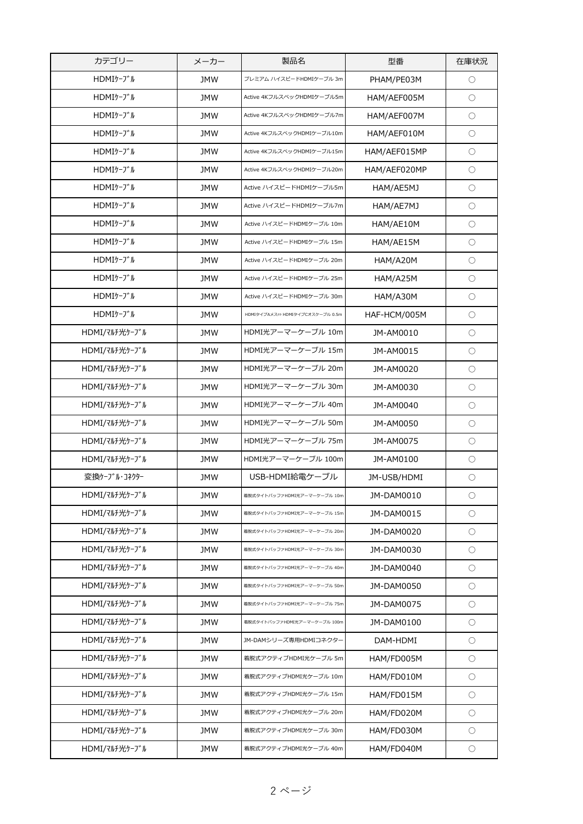| カテゴリー         | メーカー       | 製品名                             | 型番           | 在庫状況       |
|---------------|------------|---------------------------------|--------------|------------|
| HDMIケーブル      | <b>JMW</b> | プレミアム ハイスピードHDMIケーブル 3m         | PHAM/PE03M   | $\bigcirc$ |
| HDMIケーブル      | <b>JMW</b> | Active 4KフルスペックHDMIケーブル5m       | HAM/AEF005M  | $\bigcirc$ |
| HDMIケーブル      | <b>JMW</b> | Active 4KフルスペックHDMIケーブル7m       | HAM/AEF007M  | $\bigcirc$ |
| HDMIケーブル      | <b>JMW</b> | Active 4KフルスペックHDMIケーブル10m      | HAM/AEF010M  | $\bigcirc$ |
| HDMIケーブル      | <b>JMW</b> | Active 4KフルスペックHDMIケーブル15m      | HAM/AEF015MP | $\bigcirc$ |
| HDMIケーブル      | JMW        | Active 4KフルスペックHDMIケーブル20m      | HAM/AEF020MP | О          |
| HDMIケーブル      | JMW        | Active ハイスピードHDMIケーブル5m         | HAM/AE5MJ    | О          |
| HDMIケーブル      | <b>JMW</b> | Active ハイスピードHDMIケーブル7m         | HAM/AE7MJ    | $\bigcirc$ |
| HDMIケーブル      | JMW        | Active ハイスピードHDMIケーブル 10m       | HAM/AE10M    | О          |
| HDMIケーブル      | <b>JMW</b> | Active ハイスピードHDMIケーブル 15m       | HAM/AE15M    | $\bigcirc$ |
| HDMIケーブル      | <b>JMW</b> | Active ハイスピードHDMIケーブル 20m       | HAM/A20M     | $\bigcirc$ |
| HDMIケーブル      | <b>JMW</b> | Active ハイスピードHDMIケーブル 25m       | HAM/A25M     | $\bigcirc$ |
| HDMIケーブル      | <b>JMW</b> | Active ハイスピードHDMIケーブル 30m       | HAM/A30M     | $\bigcirc$ |
| HDMIケーブル      | <b>JMW</b> | HDMIタイプAメス⇔ HDMIタイプCオスケーブル 0.5m | HAF-HCM/005M | $\bigcirc$ |
| HDMI/マルチ光ケーブル | <b>JMW</b> | HDMI光アーマーケーブル 10m               | JM-AM0010    | $\bigcirc$ |
| HDMI/マルチ光ケーブル | <b>JMW</b> | HDMI光アーマーケーブル 15m               | JM-AM0015    | $\bigcirc$ |
| HDMI/マルチ光ケーブル | <b>JMW</b> | HDMI光アーマーケーブル 20m               | JM-AM0020    | $\bigcirc$ |
| HDMI/マルチ光ケーブル | JMW        | HDMI光アーマーケーブル 30m               | JM-AM0030    | О          |
| HDMI/マルチ光ケーブル | <b>JMW</b> | HDMI光アーマーケーブル 40m               | JM-AM0040    | О          |
| HDMI/マルチ光ケーブル | JMW        | HDMI光アーマーケーブル 50m               | JM-AM0050    | О          |
| HDMI/マルチ光ケーブル | JMW        | HDMI光アーマーケーブル 75m               | JM-AM0075    | $\bigcirc$ |
| HDMI/マルチ光ケーブル | <b>JMW</b> | HDMI光アーマーケーブル 100m              | JM-AM0100    | O          |
| 変換ケーブル・コネクター  | <b>JMW</b> | USB-HDMI給電ケーブル                  | JM-USB/HDMI  | $\bigcirc$ |
| HDMI/マルチ光ケーブル | JMW        | 着脱式タイトバッファHDMI光アーマーケーブル 10m     | JM-DAM0010   | O          |
| HDMI/マルチ光ケーブル | <b>JMW</b> | 着脱式タイトバッファHDMI光アーマーケーブル 15m     | JM-DAM0015   | $\bigcirc$ |
| HDMI/マルチ光ケーブル | <b>JMW</b> | 着脱式タイトバッファHDMI光アーマーケーブル 20m     | JM-DAM0020   | $\bigcirc$ |
| HDMI/マルチ光ケーブル | <b>JMW</b> | 着脱式タイトバッファHDMI光アーマーケーブル 30m     | JM-DAM0030   | $\bigcirc$ |
| HDMI/マルチ光ケーブル | JMW        | 着脱式タイトバッファHDMI光アーマーケーブル 40m     | JM-DAM0040   | $\bigcirc$ |
| HDMI/マルチ光ケーブル | <b>JMW</b> | 着脱式タイトバッファHDMI光アーマーケーブル 50m     | JM-DAM0050   | $\bigcirc$ |
| HDMI/マルチ光ケーブル | <b>JMW</b> | 着脱式タイトバッファHDMI光アーマーケーブル 75m     | JM-DAM0075   | $\bigcirc$ |
| HDMI/マルチ光ケーブル | JMW        | 着脱式タイトバッファHDMI光アーマーケーブル 100m    | JM-DAM0100   | $\bigcirc$ |
| HDMI/マルチ光ケーブル | JMW        | JM-DAMシリーズ専用HDMIコネクター           | DAM-HDMI     | $\bigcirc$ |
| HDMI/マルチ光ケーブル | <b>JMW</b> | 着脱式アクティブHDMI光ケーブル 5m            | HAM/FD005M   | $\bigcirc$ |
| HDMI/マルチ光ケーブル | <b>JMW</b> | 着脱式アクティブHDMI光ケーブル 10m           | HAM/FD010M   | $\bigcirc$ |
| HDMI/マルチ光ケーブル | <b>JMW</b> | 着脱式アクティブHDMI光ケーブル 15m           | HAM/FD015M   | $\bigcirc$ |
| HDMI/マルチ光ケーブル | <b>JMW</b> | 着脱式アクティブHDMI光ケーブル 20m           | HAM/FD020M   | $\bigcirc$ |
| HDMI/マルチ光ケーブル | JMW        | 着脱式アクティブHDMI光ケーブル 30m           | HAM/FD030M   | $\bigcirc$ |
| HDMI/マルチ光ケーブル | <b>JMW</b> | 着脱式アクティブHDMI光ケーブル 40m           | HAM/FD040M   | $\bigcirc$ |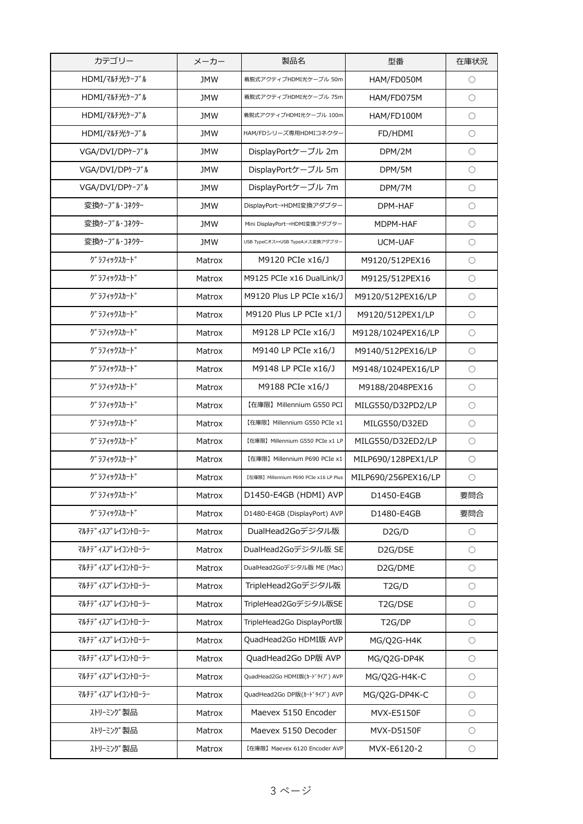| HDMI/マルチ光ケーブル<br><b>JMW</b><br>着脱式アクティブHDMI光ケーブル 50m<br>HAM/FD050M<br>$\bigcirc$<br>HDMI/マルチ光ケーブル<br><b>JMW</b><br>HAM/FD075M<br>$\bigcirc$<br>着脱式アクティブHDMI光ケーブル 75m<br>$\bigcirc$<br>HDMI/マルチ光ケーブル<br><b>JMW</b><br>着脱式アクティブHDMI光ケーブル 100m<br>HAM/FD100M<br>HDMI/マルチ光ケーブル<br>HAM/FDシリーズ専用HDMIコネクター<br><b>JMW</b><br>$\bigcirc$<br>FD/HDMI<br>VGA/DVI/DPケーブル<br>DisplayPortケーブル 2m<br>$\bigcirc$<br><b>JMW</b><br>DPM/2M<br>VGA/DVI/DPケーブル<br>DisplayPortケーブル 5m<br>$\bigcirc$<br><b>JMW</b><br>DPM/5M<br>VGA/DVI/DPケーブル<br>DisplayPortケーブル 7m<br><b>JMW</b><br>$\bigcirc$<br>DPM/7M<br>変換ケーブル・コネクター<br>DisplayPort→HDMI変換アダプター<br><b>JMW</b><br>DPM-HAF<br>$\bigcirc$<br>変換ケーブル・コネクター<br><b>JMW</b><br>Mini DisplayPort→HDMI変換アダプター<br>MDPM-HAF<br>$\bigcirc$<br>変換ケーブル・コネクター<br>$\bigcirc$<br><b>JMW</b><br>UCM-UAF<br>USB TypeCオス⇔USB TypeAメス変換アダプター<br>グラフィックスカード<br>M9120 PCIe x16/J<br>Matrox<br>M9120/512PEX16<br>$\bigcirc$<br>グラフィックスカード<br>M9125 PCIe x16 DualLink/J<br>$\circ$<br>M9125/512PEX16<br>Matrox<br>グラフィックスカード<br>M9120 Plus LP PCIe x16/J<br>M9120/512PEX16/LP<br>$\bigcirc$<br>Matrox<br>グラフィックスカード<br>M9120 Plus LP PCIe x1/J<br>$\bigcirc$<br>M9120/512PEX1/LP<br>Matrox<br>グ ラフィックスカート゛<br>M9128 LP PCIe x16/J<br>$\bigcirc$<br>M9128/1024PEX16/LP<br>Matrox<br>グラフィックスカード<br>M9140 LP PCIe x16/J<br>$\bigcirc$<br>M9140/512PEX16/LP<br>Matrox<br>グラフィックスカード<br>M9148 LP PCIe x16/J<br>$\bigcirc$<br>Matrox<br>M9148/1024PEX16/LP<br>グラフィックスカード<br>M9188 PCIe x16/J<br>$\bigcirc$<br>Matrox<br>M9188/2048PEX16<br>グラフィックスカード<br>【在庫限】Millennium G550 PCI<br>MILG550/D32PD2/LP<br>Matrox<br>О<br>グラフィックスカード<br>Matrox<br>【在庫限】Millennium G550 PCIe x1<br>MILG550/D32ED<br>$\bigcirc$<br>グラフィックスカード<br>【在庫限】Millennium G550 PCIe x1 LP<br>MILG550/D32ED2/LP<br>$\bigcirc$<br>Matrox<br>グラフィックスカード<br>MILP690/128PEX1/LP<br>Matrox<br>【在庫限】Millennium P690 PCIe x1<br>O<br>グラフィックスカード<br>MILP690/256PEX16/LP<br>$\bigcirc$<br>Matrox<br>【在庫限】Millennium P690 PCIe x16 LP Plus<br>グラフィックスカード<br>D1450-E4GB (HDMI) AVP<br>D1450-E4GB<br>要問合<br>Matrox<br>グラフィックスカード<br>D1480-E4GB (DisplayPort) AVP<br>要問合<br>D1480-E4GB<br>Matrox<br>DualHead2Goデジタル版<br>マルチテ゛ィスフ°レイコントローラー<br>Matrox<br>D2G/D<br>$\bigcirc$<br>マルチテ゛ィスフ゜レイコントローラー<br>DualHead2Goデジタル版 SE<br>D <sub>2</sub> G/DSE<br>$\bigcirc$<br>Matrox<br>マルチテ <sup>、</sup> ィスフ°レイコントローラー<br>DualHead2Goデジタル版 ME (Mac)<br>D2G/DME<br>$\bigcirc$<br>Matrox<br>マルチテ゛ィスフ゜レイコントローラー<br>Matrox<br>TripleHead2Goデジタル版<br>T2G/D<br>$\bigcirc$<br>マルチテ゛ィスフ°レイコントローラー<br>TripleHead2Goデジタル版SE<br>Matrox<br>T2G/DSE<br>$\bigcirc$<br>マルチテ゛ィスフ゜レイコントローラー<br>TripleHead2Go DisplayPort版<br>Matrox<br>T <sub>2</sub> G/DP<br>$\bigcirc$<br>QuadHead2Go HDMI版 AVP<br>マルチテ゛ィスフ゜レイコントローラー<br>Matrox<br>MG/Q2G-H4K<br>О<br>マルチテ゛ィスフ゜レイコントローラー<br>QuadHead2Go DP版 AVP<br>Matrox<br>MG/Q2G-DP4K<br>О<br>マルチテ゛ィスフ゜レイコントローラー<br>QuadHead2Go HDMI版(カードタイプ) AVP<br>$\bigcirc$<br>Matrox<br>MG/Q2G-H4K-C<br>マルチテ゛ィスフ゜レイコントローラー<br>QuadHead2Go DP版(カードタイプ) AVP<br>$\bigcirc$<br>Matrox<br>MG/Q2G-DP4K-C<br>ハリーミング 製品<br>Maevex 5150 Encoder<br>Matrox<br>MVX-E5150F<br>$\bigcirc$<br>ハリーミング 製品<br>Maevex 5150 Decoder<br>MVX-D5150F<br>$\bigcirc$<br>Matrox<br>ハリーミング 製品<br>Matrox<br>MVX-E6120-2<br>【在庫限】Maevex 6120 Encoder AVP<br>$\bigcirc$ | カテゴリー | メーカー | 製品名 | 型番 | 在庫状況 |
|-------------------------------------------------------------------------------------------------------------------------------------------------------------------------------------------------------------------------------------------------------------------------------------------------------------------------------------------------------------------------------------------------------------------------------------------------------------------------------------------------------------------------------------------------------------------------------------------------------------------------------------------------------------------------------------------------------------------------------------------------------------------------------------------------------------------------------------------------------------------------------------------------------------------------------------------------------------------------------------------------------------------------------------------------------------------------------------------------------------------------------------------------------------------------------------------------------------------------------------------------------------------------------------------------------------------------------------------------------------------------------------------------------------------------------------------------------------------------------------------------------------------------------------------------------------------------------------------------------------------------------------------------------------------------------------------------------------------------------------------------------------------------------------------------------------------------------------------------------------------------------------------------------------------------------------------------------------------------------------------------------------------------------------------------------------------------------------------------------------------------------------------------------------------------------------------------------------------------------------------------------------------------------------------------------------------------------------------------------------------------------------------------------------------------------------------------------------------------------------------------------------------------------------------------------------------------------------------------------------------------------------------------------------------------------------------------------------------------------------------------------------------------------------------------------------------------------------------------------------------------------------------------------------------------------------------------------------------------------------------------------------------------------------------------------------------------------------------------------------------------------------------------------------------------------------------------------------------------------------------------------------------------------------------------|-------|------|-----|----|------|
|                                                                                                                                                                                                                                                                                                                                                                                                                                                                                                                                                                                                                                                                                                                                                                                                                                                                                                                                                                                                                                                                                                                                                                                                                                                                                                                                                                                                                                                                                                                                                                                                                                                                                                                                                                                                                                                                                                                                                                                                                                                                                                                                                                                                                                                                                                                                                                                                                                                                                                                                                                                                                                                                                                                                                                                                                                                                                                                                                                                                                                                                                                                                                                                                                                                                                                 |       |      |     |    |      |
|                                                                                                                                                                                                                                                                                                                                                                                                                                                                                                                                                                                                                                                                                                                                                                                                                                                                                                                                                                                                                                                                                                                                                                                                                                                                                                                                                                                                                                                                                                                                                                                                                                                                                                                                                                                                                                                                                                                                                                                                                                                                                                                                                                                                                                                                                                                                                                                                                                                                                                                                                                                                                                                                                                                                                                                                                                                                                                                                                                                                                                                                                                                                                                                                                                                                                                 |       |      |     |    |      |
|                                                                                                                                                                                                                                                                                                                                                                                                                                                                                                                                                                                                                                                                                                                                                                                                                                                                                                                                                                                                                                                                                                                                                                                                                                                                                                                                                                                                                                                                                                                                                                                                                                                                                                                                                                                                                                                                                                                                                                                                                                                                                                                                                                                                                                                                                                                                                                                                                                                                                                                                                                                                                                                                                                                                                                                                                                                                                                                                                                                                                                                                                                                                                                                                                                                                                                 |       |      |     |    |      |
|                                                                                                                                                                                                                                                                                                                                                                                                                                                                                                                                                                                                                                                                                                                                                                                                                                                                                                                                                                                                                                                                                                                                                                                                                                                                                                                                                                                                                                                                                                                                                                                                                                                                                                                                                                                                                                                                                                                                                                                                                                                                                                                                                                                                                                                                                                                                                                                                                                                                                                                                                                                                                                                                                                                                                                                                                                                                                                                                                                                                                                                                                                                                                                                                                                                                                                 |       |      |     |    |      |
|                                                                                                                                                                                                                                                                                                                                                                                                                                                                                                                                                                                                                                                                                                                                                                                                                                                                                                                                                                                                                                                                                                                                                                                                                                                                                                                                                                                                                                                                                                                                                                                                                                                                                                                                                                                                                                                                                                                                                                                                                                                                                                                                                                                                                                                                                                                                                                                                                                                                                                                                                                                                                                                                                                                                                                                                                                                                                                                                                                                                                                                                                                                                                                                                                                                                                                 |       |      |     |    |      |
|                                                                                                                                                                                                                                                                                                                                                                                                                                                                                                                                                                                                                                                                                                                                                                                                                                                                                                                                                                                                                                                                                                                                                                                                                                                                                                                                                                                                                                                                                                                                                                                                                                                                                                                                                                                                                                                                                                                                                                                                                                                                                                                                                                                                                                                                                                                                                                                                                                                                                                                                                                                                                                                                                                                                                                                                                                                                                                                                                                                                                                                                                                                                                                                                                                                                                                 |       |      |     |    |      |
|                                                                                                                                                                                                                                                                                                                                                                                                                                                                                                                                                                                                                                                                                                                                                                                                                                                                                                                                                                                                                                                                                                                                                                                                                                                                                                                                                                                                                                                                                                                                                                                                                                                                                                                                                                                                                                                                                                                                                                                                                                                                                                                                                                                                                                                                                                                                                                                                                                                                                                                                                                                                                                                                                                                                                                                                                                                                                                                                                                                                                                                                                                                                                                                                                                                                                                 |       |      |     |    |      |
|                                                                                                                                                                                                                                                                                                                                                                                                                                                                                                                                                                                                                                                                                                                                                                                                                                                                                                                                                                                                                                                                                                                                                                                                                                                                                                                                                                                                                                                                                                                                                                                                                                                                                                                                                                                                                                                                                                                                                                                                                                                                                                                                                                                                                                                                                                                                                                                                                                                                                                                                                                                                                                                                                                                                                                                                                                                                                                                                                                                                                                                                                                                                                                                                                                                                                                 |       |      |     |    |      |
|                                                                                                                                                                                                                                                                                                                                                                                                                                                                                                                                                                                                                                                                                                                                                                                                                                                                                                                                                                                                                                                                                                                                                                                                                                                                                                                                                                                                                                                                                                                                                                                                                                                                                                                                                                                                                                                                                                                                                                                                                                                                                                                                                                                                                                                                                                                                                                                                                                                                                                                                                                                                                                                                                                                                                                                                                                                                                                                                                                                                                                                                                                                                                                                                                                                                                                 |       |      |     |    |      |
|                                                                                                                                                                                                                                                                                                                                                                                                                                                                                                                                                                                                                                                                                                                                                                                                                                                                                                                                                                                                                                                                                                                                                                                                                                                                                                                                                                                                                                                                                                                                                                                                                                                                                                                                                                                                                                                                                                                                                                                                                                                                                                                                                                                                                                                                                                                                                                                                                                                                                                                                                                                                                                                                                                                                                                                                                                                                                                                                                                                                                                                                                                                                                                                                                                                                                                 |       |      |     |    |      |
|                                                                                                                                                                                                                                                                                                                                                                                                                                                                                                                                                                                                                                                                                                                                                                                                                                                                                                                                                                                                                                                                                                                                                                                                                                                                                                                                                                                                                                                                                                                                                                                                                                                                                                                                                                                                                                                                                                                                                                                                                                                                                                                                                                                                                                                                                                                                                                                                                                                                                                                                                                                                                                                                                                                                                                                                                                                                                                                                                                                                                                                                                                                                                                                                                                                                                                 |       |      |     |    |      |
|                                                                                                                                                                                                                                                                                                                                                                                                                                                                                                                                                                                                                                                                                                                                                                                                                                                                                                                                                                                                                                                                                                                                                                                                                                                                                                                                                                                                                                                                                                                                                                                                                                                                                                                                                                                                                                                                                                                                                                                                                                                                                                                                                                                                                                                                                                                                                                                                                                                                                                                                                                                                                                                                                                                                                                                                                                                                                                                                                                                                                                                                                                                                                                                                                                                                                                 |       |      |     |    |      |
|                                                                                                                                                                                                                                                                                                                                                                                                                                                                                                                                                                                                                                                                                                                                                                                                                                                                                                                                                                                                                                                                                                                                                                                                                                                                                                                                                                                                                                                                                                                                                                                                                                                                                                                                                                                                                                                                                                                                                                                                                                                                                                                                                                                                                                                                                                                                                                                                                                                                                                                                                                                                                                                                                                                                                                                                                                                                                                                                                                                                                                                                                                                                                                                                                                                                                                 |       |      |     |    |      |
|                                                                                                                                                                                                                                                                                                                                                                                                                                                                                                                                                                                                                                                                                                                                                                                                                                                                                                                                                                                                                                                                                                                                                                                                                                                                                                                                                                                                                                                                                                                                                                                                                                                                                                                                                                                                                                                                                                                                                                                                                                                                                                                                                                                                                                                                                                                                                                                                                                                                                                                                                                                                                                                                                                                                                                                                                                                                                                                                                                                                                                                                                                                                                                                                                                                                                                 |       |      |     |    |      |
|                                                                                                                                                                                                                                                                                                                                                                                                                                                                                                                                                                                                                                                                                                                                                                                                                                                                                                                                                                                                                                                                                                                                                                                                                                                                                                                                                                                                                                                                                                                                                                                                                                                                                                                                                                                                                                                                                                                                                                                                                                                                                                                                                                                                                                                                                                                                                                                                                                                                                                                                                                                                                                                                                                                                                                                                                                                                                                                                                                                                                                                                                                                                                                                                                                                                                                 |       |      |     |    |      |
|                                                                                                                                                                                                                                                                                                                                                                                                                                                                                                                                                                                                                                                                                                                                                                                                                                                                                                                                                                                                                                                                                                                                                                                                                                                                                                                                                                                                                                                                                                                                                                                                                                                                                                                                                                                                                                                                                                                                                                                                                                                                                                                                                                                                                                                                                                                                                                                                                                                                                                                                                                                                                                                                                                                                                                                                                                                                                                                                                                                                                                                                                                                                                                                                                                                                                                 |       |      |     |    |      |
|                                                                                                                                                                                                                                                                                                                                                                                                                                                                                                                                                                                                                                                                                                                                                                                                                                                                                                                                                                                                                                                                                                                                                                                                                                                                                                                                                                                                                                                                                                                                                                                                                                                                                                                                                                                                                                                                                                                                                                                                                                                                                                                                                                                                                                                                                                                                                                                                                                                                                                                                                                                                                                                                                                                                                                                                                                                                                                                                                                                                                                                                                                                                                                                                                                                                                                 |       |      |     |    |      |
|                                                                                                                                                                                                                                                                                                                                                                                                                                                                                                                                                                                                                                                                                                                                                                                                                                                                                                                                                                                                                                                                                                                                                                                                                                                                                                                                                                                                                                                                                                                                                                                                                                                                                                                                                                                                                                                                                                                                                                                                                                                                                                                                                                                                                                                                                                                                                                                                                                                                                                                                                                                                                                                                                                                                                                                                                                                                                                                                                                                                                                                                                                                                                                                                                                                                                                 |       |      |     |    |      |
|                                                                                                                                                                                                                                                                                                                                                                                                                                                                                                                                                                                                                                                                                                                                                                                                                                                                                                                                                                                                                                                                                                                                                                                                                                                                                                                                                                                                                                                                                                                                                                                                                                                                                                                                                                                                                                                                                                                                                                                                                                                                                                                                                                                                                                                                                                                                                                                                                                                                                                                                                                                                                                                                                                                                                                                                                                                                                                                                                                                                                                                                                                                                                                                                                                                                                                 |       |      |     |    |      |
|                                                                                                                                                                                                                                                                                                                                                                                                                                                                                                                                                                                                                                                                                                                                                                                                                                                                                                                                                                                                                                                                                                                                                                                                                                                                                                                                                                                                                                                                                                                                                                                                                                                                                                                                                                                                                                                                                                                                                                                                                                                                                                                                                                                                                                                                                                                                                                                                                                                                                                                                                                                                                                                                                                                                                                                                                                                                                                                                                                                                                                                                                                                                                                                                                                                                                                 |       |      |     |    |      |
|                                                                                                                                                                                                                                                                                                                                                                                                                                                                                                                                                                                                                                                                                                                                                                                                                                                                                                                                                                                                                                                                                                                                                                                                                                                                                                                                                                                                                                                                                                                                                                                                                                                                                                                                                                                                                                                                                                                                                                                                                                                                                                                                                                                                                                                                                                                                                                                                                                                                                                                                                                                                                                                                                                                                                                                                                                                                                                                                                                                                                                                                                                                                                                                                                                                                                                 |       |      |     |    |      |
|                                                                                                                                                                                                                                                                                                                                                                                                                                                                                                                                                                                                                                                                                                                                                                                                                                                                                                                                                                                                                                                                                                                                                                                                                                                                                                                                                                                                                                                                                                                                                                                                                                                                                                                                                                                                                                                                                                                                                                                                                                                                                                                                                                                                                                                                                                                                                                                                                                                                                                                                                                                                                                                                                                                                                                                                                                                                                                                                                                                                                                                                                                                                                                                                                                                                                                 |       |      |     |    |      |
|                                                                                                                                                                                                                                                                                                                                                                                                                                                                                                                                                                                                                                                                                                                                                                                                                                                                                                                                                                                                                                                                                                                                                                                                                                                                                                                                                                                                                                                                                                                                                                                                                                                                                                                                                                                                                                                                                                                                                                                                                                                                                                                                                                                                                                                                                                                                                                                                                                                                                                                                                                                                                                                                                                                                                                                                                                                                                                                                                                                                                                                                                                                                                                                                                                                                                                 |       |      |     |    |      |
|                                                                                                                                                                                                                                                                                                                                                                                                                                                                                                                                                                                                                                                                                                                                                                                                                                                                                                                                                                                                                                                                                                                                                                                                                                                                                                                                                                                                                                                                                                                                                                                                                                                                                                                                                                                                                                                                                                                                                                                                                                                                                                                                                                                                                                                                                                                                                                                                                                                                                                                                                                                                                                                                                                                                                                                                                                                                                                                                                                                                                                                                                                                                                                                                                                                                                                 |       |      |     |    |      |
|                                                                                                                                                                                                                                                                                                                                                                                                                                                                                                                                                                                                                                                                                                                                                                                                                                                                                                                                                                                                                                                                                                                                                                                                                                                                                                                                                                                                                                                                                                                                                                                                                                                                                                                                                                                                                                                                                                                                                                                                                                                                                                                                                                                                                                                                                                                                                                                                                                                                                                                                                                                                                                                                                                                                                                                                                                                                                                                                                                                                                                                                                                                                                                                                                                                                                                 |       |      |     |    |      |
|                                                                                                                                                                                                                                                                                                                                                                                                                                                                                                                                                                                                                                                                                                                                                                                                                                                                                                                                                                                                                                                                                                                                                                                                                                                                                                                                                                                                                                                                                                                                                                                                                                                                                                                                                                                                                                                                                                                                                                                                                                                                                                                                                                                                                                                                                                                                                                                                                                                                                                                                                                                                                                                                                                                                                                                                                                                                                                                                                                                                                                                                                                                                                                                                                                                                                                 |       |      |     |    |      |
|                                                                                                                                                                                                                                                                                                                                                                                                                                                                                                                                                                                                                                                                                                                                                                                                                                                                                                                                                                                                                                                                                                                                                                                                                                                                                                                                                                                                                                                                                                                                                                                                                                                                                                                                                                                                                                                                                                                                                                                                                                                                                                                                                                                                                                                                                                                                                                                                                                                                                                                                                                                                                                                                                                                                                                                                                                                                                                                                                                                                                                                                                                                                                                                                                                                                                                 |       |      |     |    |      |
|                                                                                                                                                                                                                                                                                                                                                                                                                                                                                                                                                                                                                                                                                                                                                                                                                                                                                                                                                                                                                                                                                                                                                                                                                                                                                                                                                                                                                                                                                                                                                                                                                                                                                                                                                                                                                                                                                                                                                                                                                                                                                                                                                                                                                                                                                                                                                                                                                                                                                                                                                                                                                                                                                                                                                                                                                                                                                                                                                                                                                                                                                                                                                                                                                                                                                                 |       |      |     |    |      |
|                                                                                                                                                                                                                                                                                                                                                                                                                                                                                                                                                                                                                                                                                                                                                                                                                                                                                                                                                                                                                                                                                                                                                                                                                                                                                                                                                                                                                                                                                                                                                                                                                                                                                                                                                                                                                                                                                                                                                                                                                                                                                                                                                                                                                                                                                                                                                                                                                                                                                                                                                                                                                                                                                                                                                                                                                                                                                                                                                                                                                                                                                                                                                                                                                                                                                                 |       |      |     |    |      |
|                                                                                                                                                                                                                                                                                                                                                                                                                                                                                                                                                                                                                                                                                                                                                                                                                                                                                                                                                                                                                                                                                                                                                                                                                                                                                                                                                                                                                                                                                                                                                                                                                                                                                                                                                                                                                                                                                                                                                                                                                                                                                                                                                                                                                                                                                                                                                                                                                                                                                                                                                                                                                                                                                                                                                                                                                                                                                                                                                                                                                                                                                                                                                                                                                                                                                                 |       |      |     |    |      |
|                                                                                                                                                                                                                                                                                                                                                                                                                                                                                                                                                                                                                                                                                                                                                                                                                                                                                                                                                                                                                                                                                                                                                                                                                                                                                                                                                                                                                                                                                                                                                                                                                                                                                                                                                                                                                                                                                                                                                                                                                                                                                                                                                                                                                                                                                                                                                                                                                                                                                                                                                                                                                                                                                                                                                                                                                                                                                                                                                                                                                                                                                                                                                                                                                                                                                                 |       |      |     |    |      |
|                                                                                                                                                                                                                                                                                                                                                                                                                                                                                                                                                                                                                                                                                                                                                                                                                                                                                                                                                                                                                                                                                                                                                                                                                                                                                                                                                                                                                                                                                                                                                                                                                                                                                                                                                                                                                                                                                                                                                                                                                                                                                                                                                                                                                                                                                                                                                                                                                                                                                                                                                                                                                                                                                                                                                                                                                                                                                                                                                                                                                                                                                                                                                                                                                                                                                                 |       |      |     |    |      |
|                                                                                                                                                                                                                                                                                                                                                                                                                                                                                                                                                                                                                                                                                                                                                                                                                                                                                                                                                                                                                                                                                                                                                                                                                                                                                                                                                                                                                                                                                                                                                                                                                                                                                                                                                                                                                                                                                                                                                                                                                                                                                                                                                                                                                                                                                                                                                                                                                                                                                                                                                                                                                                                                                                                                                                                                                                                                                                                                                                                                                                                                                                                                                                                                                                                                                                 |       |      |     |    |      |
|                                                                                                                                                                                                                                                                                                                                                                                                                                                                                                                                                                                                                                                                                                                                                                                                                                                                                                                                                                                                                                                                                                                                                                                                                                                                                                                                                                                                                                                                                                                                                                                                                                                                                                                                                                                                                                                                                                                                                                                                                                                                                                                                                                                                                                                                                                                                                                                                                                                                                                                                                                                                                                                                                                                                                                                                                                                                                                                                                                                                                                                                                                                                                                                                                                                                                                 |       |      |     |    |      |
|                                                                                                                                                                                                                                                                                                                                                                                                                                                                                                                                                                                                                                                                                                                                                                                                                                                                                                                                                                                                                                                                                                                                                                                                                                                                                                                                                                                                                                                                                                                                                                                                                                                                                                                                                                                                                                                                                                                                                                                                                                                                                                                                                                                                                                                                                                                                                                                                                                                                                                                                                                                                                                                                                                                                                                                                                                                                                                                                                                                                                                                                                                                                                                                                                                                                                                 |       |      |     |    |      |
|                                                                                                                                                                                                                                                                                                                                                                                                                                                                                                                                                                                                                                                                                                                                                                                                                                                                                                                                                                                                                                                                                                                                                                                                                                                                                                                                                                                                                                                                                                                                                                                                                                                                                                                                                                                                                                                                                                                                                                                                                                                                                                                                                                                                                                                                                                                                                                                                                                                                                                                                                                                                                                                                                                                                                                                                                                                                                                                                                                                                                                                                                                                                                                                                                                                                                                 |       |      |     |    |      |
|                                                                                                                                                                                                                                                                                                                                                                                                                                                                                                                                                                                                                                                                                                                                                                                                                                                                                                                                                                                                                                                                                                                                                                                                                                                                                                                                                                                                                                                                                                                                                                                                                                                                                                                                                                                                                                                                                                                                                                                                                                                                                                                                                                                                                                                                                                                                                                                                                                                                                                                                                                                                                                                                                                                                                                                                                                                                                                                                                                                                                                                                                                                                                                                                                                                                                                 |       |      |     |    |      |
|                                                                                                                                                                                                                                                                                                                                                                                                                                                                                                                                                                                                                                                                                                                                                                                                                                                                                                                                                                                                                                                                                                                                                                                                                                                                                                                                                                                                                                                                                                                                                                                                                                                                                                                                                                                                                                                                                                                                                                                                                                                                                                                                                                                                                                                                                                                                                                                                                                                                                                                                                                                                                                                                                                                                                                                                                                                                                                                                                                                                                                                                                                                                                                                                                                                                                                 |       |      |     |    |      |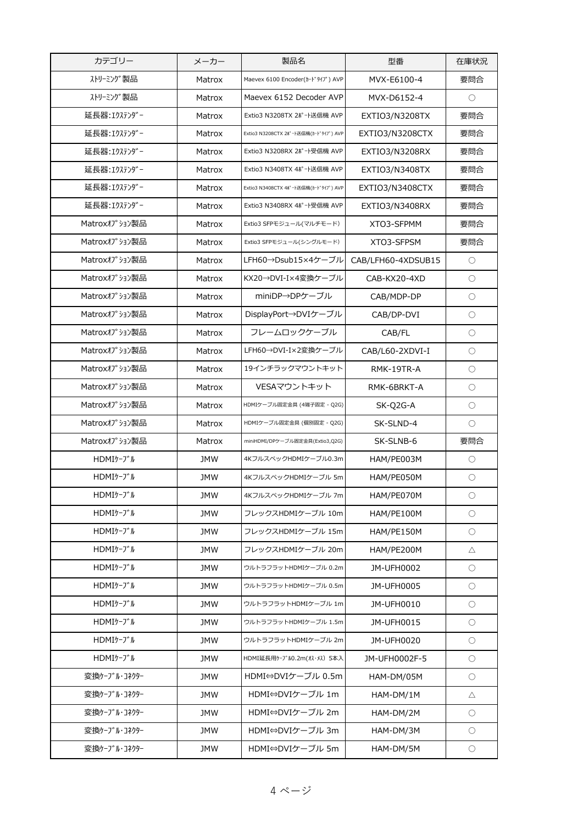| ストリーミング製品<br>要問合<br>MVX-E6100-4<br>Matrox<br>Maevex 6100 Encoder(h-ドタイプ) AVP<br>ストリーミング製品<br>Maevex 6152 Decoder AVP<br>$\bigcirc$<br>Matrox<br>MVX-D6152-4<br>延長器: エクステンダー<br>Extio3 N3208TX 2ポート送信機 AVP<br>要問合<br>EXTIO3/N3208TX<br>Matrox<br>延長器: エクステンダー<br>Extio3 N3208CTX 2ポート送信機(カードタイプ) AVP<br>要問合<br>Matrox<br>EXTIO3/N3208CTX<br>延長器: エクステンダー<br>Extio3 N3208RX 2ポート受信機 AVP<br>要問合<br>Matrox<br>EXTIO3/N3208RX<br>延長器: エクステンダー<br>Matrox<br>Extio3 N3408TX 4ポート送信機 AVP<br>EXTIO3/N3408TX<br>要問合<br>延長器: エクステンダー<br>要問合<br>Matrox<br>Extio3 N3408CTX 4ポート送信機(カードタイプ) AVP<br>EXTIO3/N3408CTX<br>延長器: エクステンダー<br>Extio3 N3408RX 4ポート受信機 AVP<br>要問合<br>Matrox<br>EXTIO3/N3408RX<br>Matroxオプション製品<br>要問合<br>Extio3 SFPモジュール(マルチモード)<br>Matrox<br>XTO3-SFPMM<br>Matroxオプション製品<br>要問合<br>Matrox<br>Extio3 SFPモジュール(シングルモード)<br>XTO3-SFPSM<br>Matroxオプション製品<br>LFH60→Dsub15×4ケーブル<br>Matrox<br>CAB/LFH60-4XDSUB15<br>$\bigcirc$<br>Matroxオプション製品<br>KX20→DVI-I×4変換ケーブル<br>$\bigcirc$<br>CAB-KX20-4XD<br>Matrox<br>Matroxオプション製品<br>miniDP→DPケーブル<br>Matrox<br>CAB/MDP-DP<br>О<br>Matroxオプション製品<br>DisplayPort→DVIケーブル<br>$\bigcirc$<br>Matrox<br>CAB/DP-DVI<br>Matroxオプション製品<br>フレームロックケーブル<br>$\bigcirc$<br>Matrox<br>CAB/FL<br>Matroxオプション製品<br>LFH60→DVI-I×2変換ケーブル<br>CAB/L60-2XDVI-I<br>$\bigcirc$<br>Matrox<br>Matroxオプション製品<br>19インチラックマウントキット<br>$\bigcirc$<br>Matrox<br>RMK-19TR-A<br>Matroxオプション製品<br>VESAマウントキット<br>Matrox<br>RMK-6BRKT-A<br>$\bigcirc$<br>Matroxオプション製品<br>Matrox<br>HDMIケーブル固定金具 (4端子固定 - Q2G)<br>SK-Q2G-A<br>О<br>Matroxオプション製品<br>SK-SLND-4<br>Matrox<br>HDMIケーブル固定金具 (個別固定 - Q2G)<br>O<br>Matroxオプション製品<br>要問合<br>miniHDMI/DPケーブル固定金具(Extio3,Q2G)<br>Matrox<br>SK-SLNB-6<br>HDMIケーブル<br><b>JMW</b><br>4KフルスペックHDMIケーブル0.3m<br>HAM/PE003M<br>Ο<br>HDMIケーブル<br><b>JMW</b><br>4KフルスペックHDMIケーブル 5m<br>HAM/PE050M<br>$\bigcirc$<br>HDMIケーブル<br><b>JMW</b><br>4KフルスペックHDMIケーブル 7m<br>HAM/PE070M<br>O<br>HDMIケーブル<br>フレックスHDMIケーブル 10m<br><b>JMW</b><br>$\bigcirc$<br>HAM/PE100M<br>HDMIケーブル<br><b>JMW</b><br>フレックスHDMIケーブル 15m<br>$\circ$<br>HAM/PE150M<br>HDMIケーブル<br>フレックスHDMIケーブル 20m<br><b>JMW</b><br>HAM/PE200M<br>$\triangle$<br>HDMIケーブル<br><b>JMW</b><br>ウルトラフラットHDMIケーブル 0.2m<br>JM-UFH0002<br>$\circ$<br>HDMIケーブル<br><b>JMW</b><br>ウルトラフラットHDMIケーブル 0.5m<br>JM-UFH0005<br>$\circ$<br>HDMIケーブル<br><b>JMW</b><br>ウルトラフラットHDMIケーブル 1m<br>JM-UFH0010<br>$\bigcirc$<br>HDMIケーブル<br><b>JMW</b><br>ウルトラフラットHDMIケーブル 1.5m<br>JM-UFH0015<br>$\circ$<br>HDMIケーブル<br><b>JMW</b><br>ウルトラフラットHDMIケーブル 2m<br>JM-UFH0020<br>$\bigcirc$<br>HDMIケーブル<br><b>JMW</b><br>HDMI延長用ケーブル0.2m(オス・メス) 5本入<br>JM-UFH0002F-5<br>$\circ$<br>HDMI⇔DVIケーブル 0.5m<br>変換ケーブル・コネクター<br><b>JMW</b><br>HAM-DM/05M<br>$\circ$<br>変換ケーブル・コネクター<br>HDMI⇔DVIケーブル 1m<br><b>JMW</b><br>HAM-DM/1M<br>Δ<br>変換ケーブル・コネクター<br>HDMI⇔DVIケーブル 2m<br><b>JMW</b><br>HAM-DM/2M<br>$\circ$<br>変換ケーブル・コネクター<br>HDMI⇔DVIケーブル 3m<br><b>JMW</b><br>HAM-DM/3M<br>$\bigcirc$<br>変換ケーブル・コネクター<br>HDMI⇔DVIケーブル 5m<br><b>JMW</b><br>HAM-DM/5M<br>$\circ$ | カテゴリー | メーカー | 製品名 | 型番 | 在庫状況 |
|-------------------------------------------------------------------------------------------------------------------------------------------------------------------------------------------------------------------------------------------------------------------------------------------------------------------------------------------------------------------------------------------------------------------------------------------------------------------------------------------------------------------------------------------------------------------------------------------------------------------------------------------------------------------------------------------------------------------------------------------------------------------------------------------------------------------------------------------------------------------------------------------------------------------------------------------------------------------------------------------------------------------------------------------------------------------------------------------------------------------------------------------------------------------------------------------------------------------------------------------------------------------------------------------------------------------------------------------------------------------------------------------------------------------------------------------------------------------------------------------------------------------------------------------------------------------------------------------------------------------------------------------------------------------------------------------------------------------------------------------------------------------------------------------------------------------------------------------------------------------------------------------------------------------------------------------------------------------------------------------------------------------------------------------------------------------------------------------------------------------------------------------------------------------------------------------------------------------------------------------------------------------------------------------------------------------------------------------------------------------------------------------------------------------------------------------------------------------------------------------------------------------------------------------------------------------------------------------------------------------------------------------------------------------------------------------------------------------------------------------------------------------------------------------------------------------------------------------------------------------------------------------------------------------------------------------------------------------------------------------------------------------------------|-------|------|-----|----|------|
|                                                                                                                                                                                                                                                                                                                                                                                                                                                                                                                                                                                                                                                                                                                                                                                                                                                                                                                                                                                                                                                                                                                                                                                                                                                                                                                                                                                                                                                                                                                                                                                                                                                                                                                                                                                                                                                                                                                                                                                                                                                                                                                                                                                                                                                                                                                                                                                                                                                                                                                                                                                                                                                                                                                                                                                                                                                                                                                                                                                                                               |       |      |     |    |      |
|                                                                                                                                                                                                                                                                                                                                                                                                                                                                                                                                                                                                                                                                                                                                                                                                                                                                                                                                                                                                                                                                                                                                                                                                                                                                                                                                                                                                                                                                                                                                                                                                                                                                                                                                                                                                                                                                                                                                                                                                                                                                                                                                                                                                                                                                                                                                                                                                                                                                                                                                                                                                                                                                                                                                                                                                                                                                                                                                                                                                                               |       |      |     |    |      |
|                                                                                                                                                                                                                                                                                                                                                                                                                                                                                                                                                                                                                                                                                                                                                                                                                                                                                                                                                                                                                                                                                                                                                                                                                                                                                                                                                                                                                                                                                                                                                                                                                                                                                                                                                                                                                                                                                                                                                                                                                                                                                                                                                                                                                                                                                                                                                                                                                                                                                                                                                                                                                                                                                                                                                                                                                                                                                                                                                                                                                               |       |      |     |    |      |
|                                                                                                                                                                                                                                                                                                                                                                                                                                                                                                                                                                                                                                                                                                                                                                                                                                                                                                                                                                                                                                                                                                                                                                                                                                                                                                                                                                                                                                                                                                                                                                                                                                                                                                                                                                                                                                                                                                                                                                                                                                                                                                                                                                                                                                                                                                                                                                                                                                                                                                                                                                                                                                                                                                                                                                                                                                                                                                                                                                                                                               |       |      |     |    |      |
|                                                                                                                                                                                                                                                                                                                                                                                                                                                                                                                                                                                                                                                                                                                                                                                                                                                                                                                                                                                                                                                                                                                                                                                                                                                                                                                                                                                                                                                                                                                                                                                                                                                                                                                                                                                                                                                                                                                                                                                                                                                                                                                                                                                                                                                                                                                                                                                                                                                                                                                                                                                                                                                                                                                                                                                                                                                                                                                                                                                                                               |       |      |     |    |      |
|                                                                                                                                                                                                                                                                                                                                                                                                                                                                                                                                                                                                                                                                                                                                                                                                                                                                                                                                                                                                                                                                                                                                                                                                                                                                                                                                                                                                                                                                                                                                                                                                                                                                                                                                                                                                                                                                                                                                                                                                                                                                                                                                                                                                                                                                                                                                                                                                                                                                                                                                                                                                                                                                                                                                                                                                                                                                                                                                                                                                                               |       |      |     |    |      |
|                                                                                                                                                                                                                                                                                                                                                                                                                                                                                                                                                                                                                                                                                                                                                                                                                                                                                                                                                                                                                                                                                                                                                                                                                                                                                                                                                                                                                                                                                                                                                                                                                                                                                                                                                                                                                                                                                                                                                                                                                                                                                                                                                                                                                                                                                                                                                                                                                                                                                                                                                                                                                                                                                                                                                                                                                                                                                                                                                                                                                               |       |      |     |    |      |
|                                                                                                                                                                                                                                                                                                                                                                                                                                                                                                                                                                                                                                                                                                                                                                                                                                                                                                                                                                                                                                                                                                                                                                                                                                                                                                                                                                                                                                                                                                                                                                                                                                                                                                                                                                                                                                                                                                                                                                                                                                                                                                                                                                                                                                                                                                                                                                                                                                                                                                                                                                                                                                                                                                                                                                                                                                                                                                                                                                                                                               |       |      |     |    |      |
|                                                                                                                                                                                                                                                                                                                                                                                                                                                                                                                                                                                                                                                                                                                                                                                                                                                                                                                                                                                                                                                                                                                                                                                                                                                                                                                                                                                                                                                                                                                                                                                                                                                                                                                                                                                                                                                                                                                                                                                                                                                                                                                                                                                                                                                                                                                                                                                                                                                                                                                                                                                                                                                                                                                                                                                                                                                                                                                                                                                                                               |       |      |     |    |      |
|                                                                                                                                                                                                                                                                                                                                                                                                                                                                                                                                                                                                                                                                                                                                                                                                                                                                                                                                                                                                                                                                                                                                                                                                                                                                                                                                                                                                                                                                                                                                                                                                                                                                                                                                                                                                                                                                                                                                                                                                                                                                                                                                                                                                                                                                                                                                                                                                                                                                                                                                                                                                                                                                                                                                                                                                                                                                                                                                                                                                                               |       |      |     |    |      |
|                                                                                                                                                                                                                                                                                                                                                                                                                                                                                                                                                                                                                                                                                                                                                                                                                                                                                                                                                                                                                                                                                                                                                                                                                                                                                                                                                                                                                                                                                                                                                                                                                                                                                                                                                                                                                                                                                                                                                                                                                                                                                                                                                                                                                                                                                                                                                                                                                                                                                                                                                                                                                                                                                                                                                                                                                                                                                                                                                                                                                               |       |      |     |    |      |
|                                                                                                                                                                                                                                                                                                                                                                                                                                                                                                                                                                                                                                                                                                                                                                                                                                                                                                                                                                                                                                                                                                                                                                                                                                                                                                                                                                                                                                                                                                                                                                                                                                                                                                                                                                                                                                                                                                                                                                                                                                                                                                                                                                                                                                                                                                                                                                                                                                                                                                                                                                                                                                                                                                                                                                                                                                                                                                                                                                                                                               |       |      |     |    |      |
|                                                                                                                                                                                                                                                                                                                                                                                                                                                                                                                                                                                                                                                                                                                                                                                                                                                                                                                                                                                                                                                                                                                                                                                                                                                                                                                                                                                                                                                                                                                                                                                                                                                                                                                                                                                                                                                                                                                                                                                                                                                                                                                                                                                                                                                                                                                                                                                                                                                                                                                                                                                                                                                                                                                                                                                                                                                                                                                                                                                                                               |       |      |     |    |      |
|                                                                                                                                                                                                                                                                                                                                                                                                                                                                                                                                                                                                                                                                                                                                                                                                                                                                                                                                                                                                                                                                                                                                                                                                                                                                                                                                                                                                                                                                                                                                                                                                                                                                                                                                                                                                                                                                                                                                                                                                                                                                                                                                                                                                                                                                                                                                                                                                                                                                                                                                                                                                                                                                                                                                                                                                                                                                                                                                                                                                                               |       |      |     |    |      |
|                                                                                                                                                                                                                                                                                                                                                                                                                                                                                                                                                                                                                                                                                                                                                                                                                                                                                                                                                                                                                                                                                                                                                                                                                                                                                                                                                                                                                                                                                                                                                                                                                                                                                                                                                                                                                                                                                                                                                                                                                                                                                                                                                                                                                                                                                                                                                                                                                                                                                                                                                                                                                                                                                                                                                                                                                                                                                                                                                                                                                               |       |      |     |    |      |
|                                                                                                                                                                                                                                                                                                                                                                                                                                                                                                                                                                                                                                                                                                                                                                                                                                                                                                                                                                                                                                                                                                                                                                                                                                                                                                                                                                                                                                                                                                                                                                                                                                                                                                                                                                                                                                                                                                                                                                                                                                                                                                                                                                                                                                                                                                                                                                                                                                                                                                                                                                                                                                                                                                                                                                                                                                                                                                                                                                                                                               |       |      |     |    |      |
|                                                                                                                                                                                                                                                                                                                                                                                                                                                                                                                                                                                                                                                                                                                                                                                                                                                                                                                                                                                                                                                                                                                                                                                                                                                                                                                                                                                                                                                                                                                                                                                                                                                                                                                                                                                                                                                                                                                                                                                                                                                                                                                                                                                                                                                                                                                                                                                                                                                                                                                                                                                                                                                                                                                                                                                                                                                                                                                                                                                                                               |       |      |     |    |      |
|                                                                                                                                                                                                                                                                                                                                                                                                                                                                                                                                                                                                                                                                                                                                                                                                                                                                                                                                                                                                                                                                                                                                                                                                                                                                                                                                                                                                                                                                                                                                                                                                                                                                                                                                                                                                                                                                                                                                                                                                                                                                                                                                                                                                                                                                                                                                                                                                                                                                                                                                                                                                                                                                                                                                                                                                                                                                                                                                                                                                                               |       |      |     |    |      |
|                                                                                                                                                                                                                                                                                                                                                                                                                                                                                                                                                                                                                                                                                                                                                                                                                                                                                                                                                                                                                                                                                                                                                                                                                                                                                                                                                                                                                                                                                                                                                                                                                                                                                                                                                                                                                                                                                                                                                                                                                                                                                                                                                                                                                                                                                                                                                                                                                                                                                                                                                                                                                                                                                                                                                                                                                                                                                                                                                                                                                               |       |      |     |    |      |
|                                                                                                                                                                                                                                                                                                                                                                                                                                                                                                                                                                                                                                                                                                                                                                                                                                                                                                                                                                                                                                                                                                                                                                                                                                                                                                                                                                                                                                                                                                                                                                                                                                                                                                                                                                                                                                                                                                                                                                                                                                                                                                                                                                                                                                                                                                                                                                                                                                                                                                                                                                                                                                                                                                                                                                                                                                                                                                                                                                                                                               |       |      |     |    |      |
|                                                                                                                                                                                                                                                                                                                                                                                                                                                                                                                                                                                                                                                                                                                                                                                                                                                                                                                                                                                                                                                                                                                                                                                                                                                                                                                                                                                                                                                                                                                                                                                                                                                                                                                                                                                                                                                                                                                                                                                                                                                                                                                                                                                                                                                                                                                                                                                                                                                                                                                                                                                                                                                                                                                                                                                                                                                                                                                                                                                                                               |       |      |     |    |      |
|                                                                                                                                                                                                                                                                                                                                                                                                                                                                                                                                                                                                                                                                                                                                                                                                                                                                                                                                                                                                                                                                                                                                                                                                                                                                                                                                                                                                                                                                                                                                                                                                                                                                                                                                                                                                                                                                                                                                                                                                                                                                                                                                                                                                                                                                                                                                                                                                                                                                                                                                                                                                                                                                                                                                                                                                                                                                                                                                                                                                                               |       |      |     |    |      |
|                                                                                                                                                                                                                                                                                                                                                                                                                                                                                                                                                                                                                                                                                                                                                                                                                                                                                                                                                                                                                                                                                                                                                                                                                                                                                                                                                                                                                                                                                                                                                                                                                                                                                                                                                                                                                                                                                                                                                                                                                                                                                                                                                                                                                                                                                                                                                                                                                                                                                                                                                                                                                                                                                                                                                                                                                                                                                                                                                                                                                               |       |      |     |    |      |
|                                                                                                                                                                                                                                                                                                                                                                                                                                                                                                                                                                                                                                                                                                                                                                                                                                                                                                                                                                                                                                                                                                                                                                                                                                                                                                                                                                                                                                                                                                                                                                                                                                                                                                                                                                                                                                                                                                                                                                                                                                                                                                                                                                                                                                                                                                                                                                                                                                                                                                                                                                                                                                                                                                                                                                                                                                                                                                                                                                                                                               |       |      |     |    |      |
|                                                                                                                                                                                                                                                                                                                                                                                                                                                                                                                                                                                                                                                                                                                                                                                                                                                                                                                                                                                                                                                                                                                                                                                                                                                                                                                                                                                                                                                                                                                                                                                                                                                                                                                                                                                                                                                                                                                                                                                                                                                                                                                                                                                                                                                                                                                                                                                                                                                                                                                                                                                                                                                                                                                                                                                                                                                                                                                                                                                                                               |       |      |     |    |      |
|                                                                                                                                                                                                                                                                                                                                                                                                                                                                                                                                                                                                                                                                                                                                                                                                                                                                                                                                                                                                                                                                                                                                                                                                                                                                                                                                                                                                                                                                                                                                                                                                                                                                                                                                                                                                                                                                                                                                                                                                                                                                                                                                                                                                                                                                                                                                                                                                                                                                                                                                                                                                                                                                                                                                                                                                                                                                                                                                                                                                                               |       |      |     |    |      |
|                                                                                                                                                                                                                                                                                                                                                                                                                                                                                                                                                                                                                                                                                                                                                                                                                                                                                                                                                                                                                                                                                                                                                                                                                                                                                                                                                                                                                                                                                                                                                                                                                                                                                                                                                                                                                                                                                                                                                                                                                                                                                                                                                                                                                                                                                                                                                                                                                                                                                                                                                                                                                                                                                                                                                                                                                                                                                                                                                                                                                               |       |      |     |    |      |
|                                                                                                                                                                                                                                                                                                                                                                                                                                                                                                                                                                                                                                                                                                                                                                                                                                                                                                                                                                                                                                                                                                                                                                                                                                                                                                                                                                                                                                                                                                                                                                                                                                                                                                                                                                                                                                                                                                                                                                                                                                                                                                                                                                                                                                                                                                                                                                                                                                                                                                                                                                                                                                                                                                                                                                                                                                                                                                                                                                                                                               |       |      |     |    |      |
|                                                                                                                                                                                                                                                                                                                                                                                                                                                                                                                                                                                                                                                                                                                                                                                                                                                                                                                                                                                                                                                                                                                                                                                                                                                                                                                                                                                                                                                                                                                                                                                                                                                                                                                                                                                                                                                                                                                                                                                                                                                                                                                                                                                                                                                                                                                                                                                                                                                                                                                                                                                                                                                                                                                                                                                                                                                                                                                                                                                                                               |       |      |     |    |      |
|                                                                                                                                                                                                                                                                                                                                                                                                                                                                                                                                                                                                                                                                                                                                                                                                                                                                                                                                                                                                                                                                                                                                                                                                                                                                                                                                                                                                                                                                                                                                                                                                                                                                                                                                                                                                                                                                                                                                                                                                                                                                                                                                                                                                                                                                                                                                                                                                                                                                                                                                                                                                                                                                                                                                                                                                                                                                                                                                                                                                                               |       |      |     |    |      |
|                                                                                                                                                                                                                                                                                                                                                                                                                                                                                                                                                                                                                                                                                                                                                                                                                                                                                                                                                                                                                                                                                                                                                                                                                                                                                                                                                                                                                                                                                                                                                                                                                                                                                                                                                                                                                                                                                                                                                                                                                                                                                                                                                                                                                                                                                                                                                                                                                                                                                                                                                                                                                                                                                                                                                                                                                                                                                                                                                                                                                               |       |      |     |    |      |
|                                                                                                                                                                                                                                                                                                                                                                                                                                                                                                                                                                                                                                                                                                                                                                                                                                                                                                                                                                                                                                                                                                                                                                                                                                                                                                                                                                                                                                                                                                                                                                                                                                                                                                                                                                                                                                                                                                                                                                                                                                                                                                                                                                                                                                                                                                                                                                                                                                                                                                                                                                                                                                                                                                                                                                                                                                                                                                                                                                                                                               |       |      |     |    |      |
|                                                                                                                                                                                                                                                                                                                                                                                                                                                                                                                                                                                                                                                                                                                                                                                                                                                                                                                                                                                                                                                                                                                                                                                                                                                                                                                                                                                                                                                                                                                                                                                                                                                                                                                                                                                                                                                                                                                                                                                                                                                                                                                                                                                                                                                                                                                                                                                                                                                                                                                                                                                                                                                                                                                                                                                                                                                                                                                                                                                                                               |       |      |     |    |      |
|                                                                                                                                                                                                                                                                                                                                                                                                                                                                                                                                                                                                                                                                                                                                                                                                                                                                                                                                                                                                                                                                                                                                                                                                                                                                                                                                                                                                                                                                                                                                                                                                                                                                                                                                                                                                                                                                                                                                                                                                                                                                                                                                                                                                                                                                                                                                                                                                                                                                                                                                                                                                                                                                                                                                                                                                                                                                                                                                                                                                                               |       |      |     |    |      |
|                                                                                                                                                                                                                                                                                                                                                                                                                                                                                                                                                                                                                                                                                                                                                                                                                                                                                                                                                                                                                                                                                                                                                                                                                                                                                                                                                                                                                                                                                                                                                                                                                                                                                                                                                                                                                                                                                                                                                                                                                                                                                                                                                                                                                                                                                                                                                                                                                                                                                                                                                                                                                                                                                                                                                                                                                                                                                                                                                                                                                               |       |      |     |    |      |
|                                                                                                                                                                                                                                                                                                                                                                                                                                                                                                                                                                                                                                                                                                                                                                                                                                                                                                                                                                                                                                                                                                                                                                                                                                                                                                                                                                                                                                                                                                                                                                                                                                                                                                                                                                                                                                                                                                                                                                                                                                                                                                                                                                                                                                                                                                                                                                                                                                                                                                                                                                                                                                                                                                                                                                                                                                                                                                                                                                                                                               |       |      |     |    |      |
|                                                                                                                                                                                                                                                                                                                                                                                                                                                                                                                                                                                                                                                                                                                                                                                                                                                                                                                                                                                                                                                                                                                                                                                                                                                                                                                                                                                                                                                                                                                                                                                                                                                                                                                                                                                                                                                                                                                                                                                                                                                                                                                                                                                                                                                                                                                                                                                                                                                                                                                                                                                                                                                                                                                                                                                                                                                                                                                                                                                                                               |       |      |     |    |      |
|                                                                                                                                                                                                                                                                                                                                                                                                                                                                                                                                                                                                                                                                                                                                                                                                                                                                                                                                                                                                                                                                                                                                                                                                                                                                                                                                                                                                                                                                                                                                                                                                                                                                                                                                                                                                                                                                                                                                                                                                                                                                                                                                                                                                                                                                                                                                                                                                                                                                                                                                                                                                                                                                                                                                                                                                                                                                                                                                                                                                                               |       |      |     |    |      |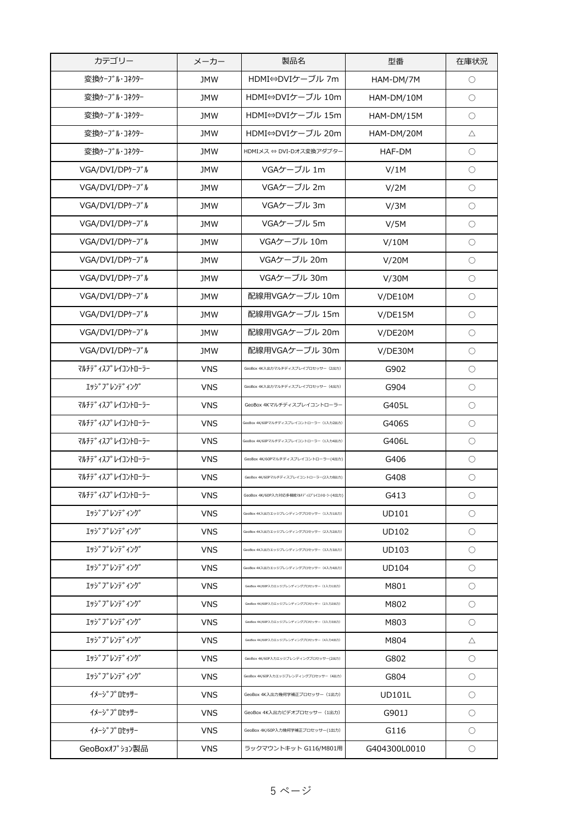| カテゴリー                                  | メーカー       | 製品名                                       | 型番            | 在庫状況       |
|----------------------------------------|------------|-------------------------------------------|---------------|------------|
| 変換ケーブル・コネクター                           | <b>JMW</b> | HDMI⇔DVIケーブル 7m                           | HAM-DM/7M     | $\bigcirc$ |
| 変換ケーブル・コネクター                           | <b>JMW</b> | HDMI⇔DVIケーブル 10m                          | HAM-DM/10M    | $\bigcirc$ |
| 変換ケーブル・コネクター                           | <b>JMW</b> | HDMI⇔DVIケーブル 15m                          | HAM-DM/15M    | $\bigcirc$ |
| 変換ケーブル・コネクター                           | <b>JMW</b> | HDMI⇔DVIケーブル 20m                          | HAM-DM/20M    | Δ          |
| 変換ケーブル・コネクター                           | <b>JMW</b> | HDMIメス ⇔ DVI-Dオス変換アダプター                   | HAF-DM        | $\bigcirc$ |
| VGA/DVI/DPケーブル                         | JMW        | VGAケーブル 1m                                | V/1M          | О          |
| VGA/DVI/DPケーブル                         | <b>JMW</b> | VGAケーブル 2m                                | V/2M          | $\bigcirc$ |
| VGA/DVI/DPケーブル                         | <b>JMW</b> | VGAケーブル 3m                                | V/3M          | $\bigcirc$ |
| VGA/DVI/DPケーブル                         | <b>JMW</b> | VGAケーブル 5m                                | V/5M          | $\bigcirc$ |
| VGA/DVI/DPケーブル                         | <b>JMW</b> | VGAケーブル 10m                               | V/10M         | $\bigcirc$ |
| VGA/DVI/DPケーブル                         | <b>JMW</b> | VGAケーブル 20m                               | V/20M         | $\bigcirc$ |
| VGA/DVI/DPケーブル                         | <b>JMW</b> | VGAケーブル 30m                               | V/30M         | $\bigcirc$ |
| VGA/DVI/DPケーブル                         | <b>JMW</b> | 配線用VGAケーブル 10m                            | V/DE10M       | $\bigcirc$ |
| VGA/DVI/DPケーブル                         | <b>JMW</b> | 配線用VGAケーブル 15m                            | V/DE15M       | $\bigcirc$ |
| VGA/DVI/DPケーブル                         | <b>JMW</b> | 配線用VGAケーブル 20m                            | V/DE20M       | $\bigcirc$ |
| VGA/DVI/DPケーブル                         | <b>JMW</b> | 配線用VGAケーブル 30m                            | V/DE30M       | $\bigcirc$ |
| マルチテ゛ィスフ°レイコントローラー                     | <b>VNS</b> | GeoBox 4K入出カマルチディスプレイプロセッサー (2出力)         | G902          | $\bigcirc$ |
| エッジ゛フ゛レンテ゛ィンク゛                         | <b>VNS</b> | GeoBox 4K入出カマルチディスプレイプロセッサー (4出力)         | G904          | O          |
| マルチテ゛ィスフ゜ レイコントローラー                    | <b>VNS</b> | GeoBox 4Kマルチディスプレイコントローラー                 | G405L         | О          |
| マルチテ゛ィスフ゜レイコントローラー                     | <b>VNS</b> | GeoBox 4K/60Pマルチディスプレイコントローラー (1入力2出力)    | G406S         | O          |
| マルチテ゛ィスフ°レイコントローラー                     | <b>VNS</b> | GeoBox 4K/60Pマルチディスプレイコントローラー (1入力4出力)    | G406L         | $\bigcirc$ |
| マルチテ゛ィスフ°レイコントローラー                     | <b>VNS</b> | GeoBox 4K/60Pマルチディスプレイコントローラー(4出力)        | G406          | O          |
| マルチテ゛ィスフ°レイコントローラー                     | <b>VNS</b> | GeoBox 4K/60Pマルチディスプレイコントローラー(2入力8出力)     | G408          | $\bigcirc$ |
| マルチテ゛ィスフ゜レイコントローラー                     | VNS        | GeoBox 4K/60P入力対応多機能マルチディスプレイコントローラー(4出力) | G413          | О          |
| エッジブレンディング                             | <b>VNS</b> | GeoBox 4K入出カエッジブレンディングプロセッサー (1入カ1出力)     | <b>UD101</b>  | О          |
| エッジブレンディング                             | <b>VNS</b> | GeoBox 4K入出カエッジブレンディングプロセッサー (2入力2出力)     | <b>UD102</b>  | $\bigcirc$ |
| エッジブレンディング                             | <b>VNS</b> | GeoBox 4K入出力エッジブレンディングプロセッサー (3入力3出力)     | <b>UD103</b>  | О          |
| エッジブレンディング                             | <b>VNS</b> | GeoBox 4K入出力エッジブレンディングプロセッサー (4入力4出力)     | <b>UD104</b>  | O          |
| エッジブレンディング                             | <b>VNS</b> | GeoBox 4K/60P入カエッジブレンディングプロセッサー (1入力1出力)  | M801          | О          |
| エッジブレンディング                             | <b>VNS</b> | GeoBox 4K/60P入力エッジプレンディングプロセッサー (2入力2出力)  | M802          | О          |
| エッジブレンディング                             | <b>VNS</b> | GeoBox 4K/60P入力エッジプレンディングプロセッサー (3入力3出力)  | M803          | О          |
| エッジブレンディング                             | <b>VNS</b> | GeoBox 4K/60P入力エッジブレンディングプロセッサー (4入力4出力)  | M804          | Δ          |
| エッジブレンディング                             | <b>VNS</b> | GeoBox 4K/60P入カエッジプレンディングプロセッサー(2出力)      | G802          | $\bigcirc$ |
| エッジブレンディング                             | <b>VNS</b> | GeoBox 4K/60P入力エッジプレンディングプロセッサー (4出力)     | G804          | O          |
| イメーシ゛プロセッサー                            | <b>VNS</b> | GeoBox 4K入出力幾何学補正プロセッサー (1出力)             | <b>UD101L</b> | O          |
| イメーシ <sup>、</sup> フ <sup>o</sup> ロセッサー | <b>VNS</b> | GeoBox 4K入出力ビデオプロセッサー (1出力)               | G901J         | $\bigcirc$ |
| イメーシ゛プロセッサー                            | <b>VNS</b> | GeoBox 4K/60P入力幾何学補正プロセッサー(1出力)           | G116          | O          |
| GeoBoxオプション製品                          | <b>VNS</b> | ラックマウントキット G116/M801用                     | G404300L0010  | O          |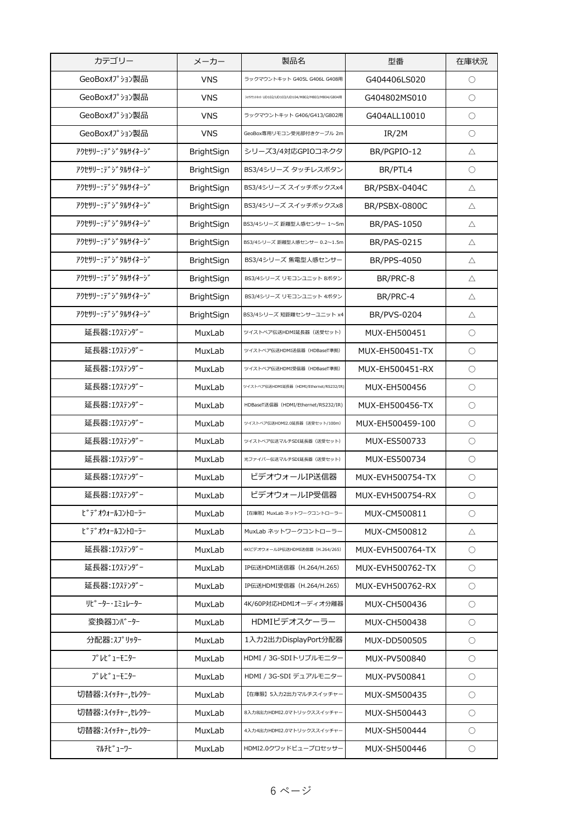| カテゴリー                | メーカー              | 製品名                                               | 型番                 | 在庫状況                |
|----------------------|-------------------|---------------------------------------------------|--------------------|---------------------|
| GeoBoxオプション製品        | <b>VNS</b>        | ラックマウントキット G405L G406L G408用                      | G404406LS020       | $\bigcirc$          |
| GeoBoxオプション製品        | <b>VNS</b>        | ラックマウントキット UD102/UD103/UD104/M802/M803/M804/G804用 | G404802MS010       | $\bigcirc$          |
| GeoBoxオプション製品        | <b>VNS</b>        | ラックマウントキット G406/G413/G802用                        | G404ALL10010       | $\bigcirc$          |
| GeoBoxオプション製品        | <b>VNS</b>        | GeoBox専用リモコン受光部付きケーブル 2m                          | IR/2M              | $\bigcirc$          |
| アクセサリー・テ゛シ゛タルサイネーシ゛  | BrightSign        | シリーズ3/4対応GPIOコネクタ                                 | BR/PGPIO-12        | $\triangle$         |
| アクセサリー:デジタルサイネージ     | <b>BrightSign</b> | BS3/4シリーズ タッチレスボタン                                | BR/PTL4            | $\circ$             |
| アクセサリー・テ゛ジタルサイネージ    | BrightSign        | BS3/4シリーズ スイッチボックスx4                              | BR/PSBX-0404C      | Δ                   |
| アクセサリー:デジタルサイネージ     | <b>BrightSign</b> | BS3/4シリーズ スイッチボックスx8                              | BR/PSBX-0800C      | $\triangle$         |
| アクセサリー・テ゛シ゛タルサイネーシ゛  | <b>BrightSign</b> | BS3/4シリーズ 距離型人感センサー 1~5m                          | <b>BR/PAS-1050</b> | $\triangle$         |
| アクセサリー:デジタルサイネージ     | <b>BrightSign</b> | BS3/4シリーズ 距離型人感センサー 0.2~1.5m                      | <b>BR/PAS-0215</b> | $\triangle$         |
| アクセサリー・テ゛ジタルサイネージ    | <b>BrightSign</b> | BS3/4シリーズ 焦電型人感センサー                               | BR/PPS-4050        | Δ                   |
| アクセサリー・テ゛シ゛タルサイネーシ゛  | BrightSign        | BS3/4シリーズ リモコンユニット 8ボタン                           | BR/PRC-8           | $\triangle$         |
| アクセサリー・テ゛ジタルサイネージ    | BrightSign        | BS3/4シリーズ リモコンユニット 4ボタン                           | BR/PRC-4           | $\triangle$         |
| アクセサリー:テ゛ジタルサイネージ    | BrightSign        | BS3/4シリーズ 短距離センサーユニット x4                          | BR/PVS-0204        | $\triangle$         |
| 延長器: エクステンダー         | MuxLab            | ツイストペア伝送HDMI延長器 (送受セット)                           | MUX-EH500451       | $\bigcirc$          |
| 延長器: エクステンダー         | MuxLab            | ツイストベア伝送HDMI送信器 (HDBaseT準拠)                       | MUX-EH500451-TX    | $\bigcirc$          |
| 延長器: 1クステンダー         | MuxLab            | ツイストベア伝送HDMI受信器 (HDBaseT準拠)                       | MUX-EH500451-RX    | $\bigcirc$          |
| 延長器: エクステンダー         | MuxLab            | ツイストペア伝送HDMI延長器 (HDMI/Ethernet/RS232/IR)          | MUX-EH500456       | $\circ$             |
| 延長器: エクステンダー         | MuxLab            | HDBaseT送信器 (HDMI/Ethernet/RS232/IR)               | MUX-EH500456-TX    | $\circlearrowright$ |
| 延長器: エクステンダー         | MuxLab            | ツイストペア伝送HDMI2.0延長器 (送受セット/100m)                   | MUX-EH500459-100   | $\circlearrowright$ |
| 延長器: エクステンダー         | MuxLab            | ツイストペア伝送マルチSDI延長器 (送受セット)                         | MUX-ES500733       | $\bigcirc$          |
| 延長器: エクステンダー         | MuxLab            | 光ファイバー伝送マルチSDI延長器 (送受セット)                         | MUX-ES500734       | $\bigcirc$          |
| 延長器: エクステンダー         | MuxLab            | ビデオウォールIP送信器                                      | MUX-EVH500754-TX   | $\bigcirc$          |
| 延長器: エクステンダー         | MuxLab            | ビデオウォールIP受信器                                      | MUX-EVH500754-RX   | $\circlearrowright$ |
| ビデオウォールコントローラー       | MuxLab            | 【在庫限】MuxLab ネットワークコントローラー                         | MUX-CM500811       | $\circlearrowright$ |
| ビデオウォールコントローラー       | MuxLab            | MuxLab ネットワークコントローラー                              | MUX-CM500812       | $\triangle$         |
| 延長器: エクステンダー         | MuxLab            | 4KビデオウォールIP伝送HDMI送信器 (H.264/265)                  | MUX-EVH500764-TX   | $\bigcirc$          |
| 延長器: エクステンダー         | MuxLab            | IP伝送HDMI送信器 (H.264/H.265)                         | MUX-EVH500762-TX   | $\circ$             |
| 延長器: エクステンダー         | MuxLab            | IP伝送HDMI受信器 (H.264/H.265)                         | MUX-EVH500762-RX   | $\circ$             |
| <b>リピーター・エミュレーター</b> | MuxLab            | 4K/60P対応HDMIオーディオ分離器                              | MUX-CH500436       | $\circ$             |
| 変換器コンバーター            | MuxLab            | HDMIビデオスケーラー                                      | MUX-CH500438       | $\circ$             |
| 分配器:スプリッター           | MuxLab            | 1入力2出力DisplayPort分配器                              | MUX-DD500505       | $\circ$             |
| プレビューモニター            | MuxLab            | HDMI / 3G-SDIトリプルモニター                             | MUX-PV500840       | $\circ$             |
| プレビューモニター            | MuxLab            | HDMI / 3G-SDI デュアルモニター                            | MUX-PV500841       | $\circ$             |
| 切替器:スイッチャー,セレクター     | MuxLab            | 【在庫限】5入力2出力マルチスイッチャー                              | MUX-SM500435       | $\circ$             |
| 切替器:スイッチャー,セレクター     | MuxLab            | 8入力8出力HDMI2.0マトリックススイッチャー                         | MUX-SH500443       | $\circ$             |
| 切替器:スイッチャー,セレクター     | MuxLab            | 4入力4出力HDMI2.0マトリックススイッチャー                         | MUX-SH500444       | $\circ$             |
| マルチピッューワー            | MuxLab            | HDMI2.0クワッドビュープロセッサー                              | MUX-SH500446       | $\circ$             |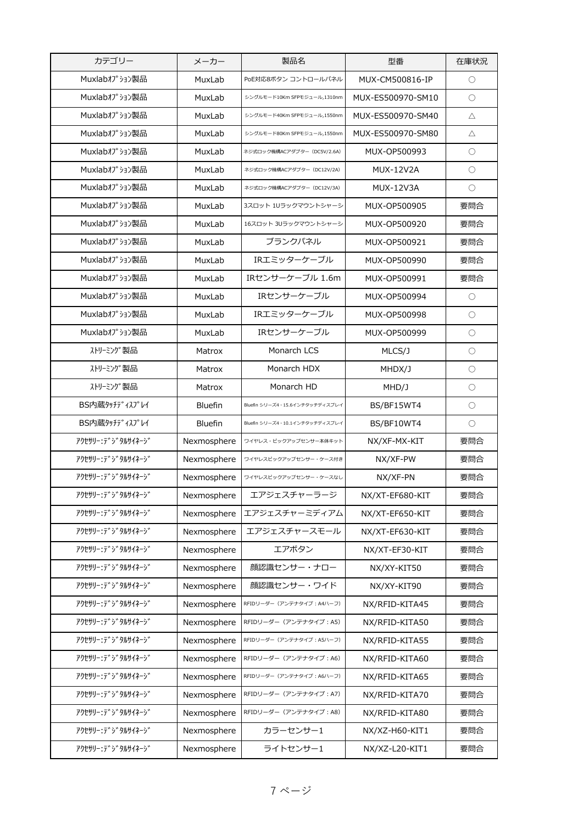| Muxlabオプション製品<br>MuxLab<br>PoE対応8ボタン コントロールパネル<br>MUX-CM500816-IP<br>$\circ$<br>Muxlabオプション製品<br>MuxLab<br>$\bigcirc$<br>シングルモード10Km SFPモジュール,1310nm<br>MUX-ES500970-SM10<br>Muxlabオプション製品<br>MuxLab<br>シングルモード40Km SFPモジュール,1550nm<br>MUX-ES500970-SM40<br>$\triangle$<br>Muxlabオプション製品<br>MuxLab<br>シングルモード80Km SFPモジュール,1550nm<br>MUX-ES500970-SM80<br>Δ<br>Muxlabオプション製品<br>MuxLab<br>ネジ式ロック機構ACアダプター (DC5V/2.6A)<br>MUX-OP500993<br>O<br>Muxlabオプション製品<br>MuxLab<br><b>MUX-12V2A</b><br>$\bigcirc$<br>ネジ式ロック機構ACアダプター (DC12V/2A)<br>Muxlabオプション製品<br>MuxLab<br>ネジ式ロック機構ACアダプター (DC12V/3A)<br><b>MUX-12V3A</b><br>O<br>Muxlabオプション製品<br>MuxLab<br>MUX-OP500905<br>要問合<br>3スロット 1Uラックマウントシャーシ<br>Muxlabオプション製品<br>要問合<br>MuxLab<br>16スロット 3Uラックマウントシャーシ<br>MUX-OP500920<br>Muxlabオプション製品<br>ブランクパネル<br>MuxLab<br>要問合<br>MUX-OP500921<br>Muxlabオプション製品<br>IRエミッターケーブル<br>MuxLab<br>要問合<br>MUX-OP500990<br>IRセンサーケーブル 1.6m<br>Muxlabオプション製品<br>MuxLab<br>要問合<br>MUX-OP500991<br>Muxlabオプション製品<br>IRセンサーケーブル<br>MuxLab<br>MUX-OP500994<br>$\circ$<br>Muxlabオプション製品<br>IRエミッターケーブル<br>MuxLab<br>$\bigcirc$<br>MUX-OP500998<br>Muxlabオプション製品<br>MuxLab<br>IRセンサーケーブル<br>MUX-OP500999<br>$\bigcirc$<br>ストリーミング製品<br>Monarch LCS<br>Matrox<br>MLCS/J<br>O<br>ストリーミング製品<br>Monarch HDX<br>Matrox<br>MHDX/J<br>$\circ$<br>ストリーミング製品<br>Monarch HD<br>Matrox<br>MHD/J<br>$\bigcirc$<br>BS内蔵タッチディスプレイ<br><b>Bluefin</b><br>BS/BF15WT4<br>O<br>Bluefin シリーズ4・15.6インチタッチディスプレイ<br>BS内蔵タッチディスプレイ<br><b>Bluefin</b><br>Bluefin シリーズ4・10.1インチタッチディスプレイ<br>BS/BF10WT4<br>O<br>アクセサリー・テ゛シ゛タルサイネーシ゛<br>要問合<br>Nexmosphere<br>ワイヤレス・ピックアップセンサー本体キット<br>NX/XF-MX-KIT<br>アクセサリー・テ゛シ゛タルサイネーシ゛<br>Nexmosphere<br>要問合<br>ワイヤレスピックアップセンサー・ケース付き<br>NX/XF-PW<br>アクセサリー: テ゛シ゛タルサイネーシ゛<br>Nexmosphere<br>ワイヤレスピックアップセンサー・ケースなし<br>NX/XF-PN<br>要問合<br>アクセサリー: テ゛ ジ タルサイネー ジ<br>エアジェスチャーラージ<br>Nexmosphere<br>NX/XT-EF680-KIT<br>要問合<br>エアジェスチャーミディアム<br>アクセサリー・テ゛シ゛タルサイネーシ゛<br>要問合<br>Nexmosphere<br>NX/XT-EF650-KIT<br>アクセサリー: デジタルサイネージ<br>エアジェスチャースモール<br>要問合<br>Nexmosphere<br>NX/XT-EF630-KIT<br>アクセサリー・テ゛シ゛タルサイネーシ゛<br>エアボタン<br>要問合<br>Nexmosphere<br>NX/XT-EF30-KIT<br>顔認識センサー・ナロー<br>アクセサリー・テ゛シ゛タルサイネーシ゛<br>Nexmosphere<br>要問合<br>NX/XY-KIT50<br>アクセサリー・テ゛ジタルサイネージ<br>顔認識センサー・ワイド<br>Nexmosphere<br>NX/XY-KIT90<br>要問合<br>アクセサリー・テ゛シ゛タルサイネーシ゛<br>Nexmosphere<br>NX/RFID-KITA45<br>要問合<br>RFIDリーダー (アンテナタイプ: A4ハーフ)<br>アクセサリー・テ゛ジタルサイネージ<br>要問合<br>Nexmosphere<br>RFIDリーダー (アンテナタイプ: A5)<br>NX/RFID-KITA50<br>アクセサリー・テ゛シ゛タルサイネーシ゛<br>要問合<br>Nexmosphere<br>RFIDリーダー (アンテナタイプ: A5ハーフ)<br>NX/RFID-KITA55<br>アクセサリー・テ゛シ゛タルサイネーシ゛<br>要問合<br>Nexmosphere<br>RFIDリーダー (アンテナタイプ: A6)<br>NX/RFID-KITA60<br>アクセサリー・テ゛シ゛タルサイネーシ゛<br>要問合<br>Nexmosphere<br>RFIDリーダー (アンテナタイプ: A6ハーフ)<br>NX/RFID-KITA65<br>アクセサリー:デジタルサイネージ<br>Nexmosphere<br>RFIDリーダー (アンテナタイプ: A7)<br>要問合<br>NX/RFID-KITA70<br>アクセサリー・テ゛シ゛タルサイネーシ゛<br>RFIDリーダー (アンテナタイプ: A8)<br>要問合<br>Nexmosphere<br>NX/RFID-KITA80<br>アクセサリー・テ゛シ゛タルサイネーシ゛<br>カラーセンサー1<br>Nexmosphere<br>要問合<br>NX/XZ-H60-KIT1<br>ライトセンサー1<br>アクセサリー・テ゛シ゛タルサイネーシ゛<br>要問合<br>Nexmosphere<br>NX/XZ-L20-KIT1 | カテゴリー | メーカー | 製品名 | 型番 | 在庫状況 |
|--------------------------------------------------------------------------------------------------------------------------------------------------------------------------------------------------------------------------------------------------------------------------------------------------------------------------------------------------------------------------------------------------------------------------------------------------------------------------------------------------------------------------------------------------------------------------------------------------------------------------------------------------------------------------------------------------------------------------------------------------------------------------------------------------------------------------------------------------------------------------------------------------------------------------------------------------------------------------------------------------------------------------------------------------------------------------------------------------------------------------------------------------------------------------------------------------------------------------------------------------------------------------------------------------------------------------------------------------------------------------------------------------------------------------------------------------------------------------------------------------------------------------------------------------------------------------------------------------------------------------------------------------------------------------------------------------------------------------------------------------------------------------------------------------------------------------------------------------------------------------------------------------------------------------------------------------------------------------------------------------------------------------------------------------------------------------------------------------------------------------------------------------------------------------------------------------------------------------------------------------------------------------------------------------------------------------------------------------------------------------------------------------------------------------------------------------------------------------------------------------------------------------------------------------------------------------------------------------------------------------------------------------------------------------------------------------------------------------------------------------------------------------------------------------------------------------------------------------------------------------------------------------------------------------------------------------------------------------------------------------------------------------------------------------------------------------------------------------------------|-------|------|-----|----|------|
|                                                                                                                                                                                                                                                                                                                                                                                                                                                                                                                                                                                                                                                                                                                                                                                                                                                                                                                                                                                                                                                                                                                                                                                                                                                                                                                                                                                                                                                                                                                                                                                                                                                                                                                                                                                                                                                                                                                                                                                                                                                                                                                                                                                                                                                                                                                                                                                                                                                                                                                                                                                                                                                                                                                                                                                                                                                                                                                                                                                                                                                                                                              |       |      |     |    |      |
|                                                                                                                                                                                                                                                                                                                                                                                                                                                                                                                                                                                                                                                                                                                                                                                                                                                                                                                                                                                                                                                                                                                                                                                                                                                                                                                                                                                                                                                                                                                                                                                                                                                                                                                                                                                                                                                                                                                                                                                                                                                                                                                                                                                                                                                                                                                                                                                                                                                                                                                                                                                                                                                                                                                                                                                                                                                                                                                                                                                                                                                                                                              |       |      |     |    |      |
|                                                                                                                                                                                                                                                                                                                                                                                                                                                                                                                                                                                                                                                                                                                                                                                                                                                                                                                                                                                                                                                                                                                                                                                                                                                                                                                                                                                                                                                                                                                                                                                                                                                                                                                                                                                                                                                                                                                                                                                                                                                                                                                                                                                                                                                                                                                                                                                                                                                                                                                                                                                                                                                                                                                                                                                                                                                                                                                                                                                                                                                                                                              |       |      |     |    |      |
|                                                                                                                                                                                                                                                                                                                                                                                                                                                                                                                                                                                                                                                                                                                                                                                                                                                                                                                                                                                                                                                                                                                                                                                                                                                                                                                                                                                                                                                                                                                                                                                                                                                                                                                                                                                                                                                                                                                                                                                                                                                                                                                                                                                                                                                                                                                                                                                                                                                                                                                                                                                                                                                                                                                                                                                                                                                                                                                                                                                                                                                                                                              |       |      |     |    |      |
|                                                                                                                                                                                                                                                                                                                                                                                                                                                                                                                                                                                                                                                                                                                                                                                                                                                                                                                                                                                                                                                                                                                                                                                                                                                                                                                                                                                                                                                                                                                                                                                                                                                                                                                                                                                                                                                                                                                                                                                                                                                                                                                                                                                                                                                                                                                                                                                                                                                                                                                                                                                                                                                                                                                                                                                                                                                                                                                                                                                                                                                                                                              |       |      |     |    |      |
|                                                                                                                                                                                                                                                                                                                                                                                                                                                                                                                                                                                                                                                                                                                                                                                                                                                                                                                                                                                                                                                                                                                                                                                                                                                                                                                                                                                                                                                                                                                                                                                                                                                                                                                                                                                                                                                                                                                                                                                                                                                                                                                                                                                                                                                                                                                                                                                                                                                                                                                                                                                                                                                                                                                                                                                                                                                                                                                                                                                                                                                                                                              |       |      |     |    |      |
|                                                                                                                                                                                                                                                                                                                                                                                                                                                                                                                                                                                                                                                                                                                                                                                                                                                                                                                                                                                                                                                                                                                                                                                                                                                                                                                                                                                                                                                                                                                                                                                                                                                                                                                                                                                                                                                                                                                                                                                                                                                                                                                                                                                                                                                                                                                                                                                                                                                                                                                                                                                                                                                                                                                                                                                                                                                                                                                                                                                                                                                                                                              |       |      |     |    |      |
|                                                                                                                                                                                                                                                                                                                                                                                                                                                                                                                                                                                                                                                                                                                                                                                                                                                                                                                                                                                                                                                                                                                                                                                                                                                                                                                                                                                                                                                                                                                                                                                                                                                                                                                                                                                                                                                                                                                                                                                                                                                                                                                                                                                                                                                                                                                                                                                                                                                                                                                                                                                                                                                                                                                                                                                                                                                                                                                                                                                                                                                                                                              |       |      |     |    |      |
|                                                                                                                                                                                                                                                                                                                                                                                                                                                                                                                                                                                                                                                                                                                                                                                                                                                                                                                                                                                                                                                                                                                                                                                                                                                                                                                                                                                                                                                                                                                                                                                                                                                                                                                                                                                                                                                                                                                                                                                                                                                                                                                                                                                                                                                                                                                                                                                                                                                                                                                                                                                                                                                                                                                                                                                                                                                                                                                                                                                                                                                                                                              |       |      |     |    |      |
|                                                                                                                                                                                                                                                                                                                                                                                                                                                                                                                                                                                                                                                                                                                                                                                                                                                                                                                                                                                                                                                                                                                                                                                                                                                                                                                                                                                                                                                                                                                                                                                                                                                                                                                                                                                                                                                                                                                                                                                                                                                                                                                                                                                                                                                                                                                                                                                                                                                                                                                                                                                                                                                                                                                                                                                                                                                                                                                                                                                                                                                                                                              |       |      |     |    |      |
|                                                                                                                                                                                                                                                                                                                                                                                                                                                                                                                                                                                                                                                                                                                                                                                                                                                                                                                                                                                                                                                                                                                                                                                                                                                                                                                                                                                                                                                                                                                                                                                                                                                                                                                                                                                                                                                                                                                                                                                                                                                                                                                                                                                                                                                                                                                                                                                                                                                                                                                                                                                                                                                                                                                                                                                                                                                                                                                                                                                                                                                                                                              |       |      |     |    |      |
|                                                                                                                                                                                                                                                                                                                                                                                                                                                                                                                                                                                                                                                                                                                                                                                                                                                                                                                                                                                                                                                                                                                                                                                                                                                                                                                                                                                                                                                                                                                                                                                                                                                                                                                                                                                                                                                                                                                                                                                                                                                                                                                                                                                                                                                                                                                                                                                                                                                                                                                                                                                                                                                                                                                                                                                                                                                                                                                                                                                                                                                                                                              |       |      |     |    |      |
|                                                                                                                                                                                                                                                                                                                                                                                                                                                                                                                                                                                                                                                                                                                                                                                                                                                                                                                                                                                                                                                                                                                                                                                                                                                                                                                                                                                                                                                                                                                                                                                                                                                                                                                                                                                                                                                                                                                                                                                                                                                                                                                                                                                                                                                                                                                                                                                                                                                                                                                                                                                                                                                                                                                                                                                                                                                                                                                                                                                                                                                                                                              |       |      |     |    |      |
|                                                                                                                                                                                                                                                                                                                                                                                                                                                                                                                                                                                                                                                                                                                                                                                                                                                                                                                                                                                                                                                                                                                                                                                                                                                                                                                                                                                                                                                                                                                                                                                                                                                                                                                                                                                                                                                                                                                                                                                                                                                                                                                                                                                                                                                                                                                                                                                                                                                                                                                                                                                                                                                                                                                                                                                                                                                                                                                                                                                                                                                                                                              |       |      |     |    |      |
|                                                                                                                                                                                                                                                                                                                                                                                                                                                                                                                                                                                                                                                                                                                                                                                                                                                                                                                                                                                                                                                                                                                                                                                                                                                                                                                                                                                                                                                                                                                                                                                                                                                                                                                                                                                                                                                                                                                                                                                                                                                                                                                                                                                                                                                                                                                                                                                                                                                                                                                                                                                                                                                                                                                                                                                                                                                                                                                                                                                                                                                                                                              |       |      |     |    |      |
|                                                                                                                                                                                                                                                                                                                                                                                                                                                                                                                                                                                                                                                                                                                                                                                                                                                                                                                                                                                                                                                                                                                                                                                                                                                                                                                                                                                                                                                                                                                                                                                                                                                                                                                                                                                                                                                                                                                                                                                                                                                                                                                                                                                                                                                                                                                                                                                                                                                                                                                                                                                                                                                                                                                                                                                                                                                                                                                                                                                                                                                                                                              |       |      |     |    |      |
|                                                                                                                                                                                                                                                                                                                                                                                                                                                                                                                                                                                                                                                                                                                                                                                                                                                                                                                                                                                                                                                                                                                                                                                                                                                                                                                                                                                                                                                                                                                                                                                                                                                                                                                                                                                                                                                                                                                                                                                                                                                                                                                                                                                                                                                                                                                                                                                                                                                                                                                                                                                                                                                                                                                                                                                                                                                                                                                                                                                                                                                                                                              |       |      |     |    |      |
|                                                                                                                                                                                                                                                                                                                                                                                                                                                                                                                                                                                                                                                                                                                                                                                                                                                                                                                                                                                                                                                                                                                                                                                                                                                                                                                                                                                                                                                                                                                                                                                                                                                                                                                                                                                                                                                                                                                                                                                                                                                                                                                                                                                                                                                                                                                                                                                                                                                                                                                                                                                                                                                                                                                                                                                                                                                                                                                                                                                                                                                                                                              |       |      |     |    |      |
|                                                                                                                                                                                                                                                                                                                                                                                                                                                                                                                                                                                                                                                                                                                                                                                                                                                                                                                                                                                                                                                                                                                                                                                                                                                                                                                                                                                                                                                                                                                                                                                                                                                                                                                                                                                                                                                                                                                                                                                                                                                                                                                                                                                                                                                                                                                                                                                                                                                                                                                                                                                                                                                                                                                                                                                                                                                                                                                                                                                                                                                                                                              |       |      |     |    |      |
|                                                                                                                                                                                                                                                                                                                                                                                                                                                                                                                                                                                                                                                                                                                                                                                                                                                                                                                                                                                                                                                                                                                                                                                                                                                                                                                                                                                                                                                                                                                                                                                                                                                                                                                                                                                                                                                                                                                                                                                                                                                                                                                                                                                                                                                                                                                                                                                                                                                                                                                                                                                                                                                                                                                                                                                                                                                                                                                                                                                                                                                                                                              |       |      |     |    |      |
|                                                                                                                                                                                                                                                                                                                                                                                                                                                                                                                                                                                                                                                                                                                                                                                                                                                                                                                                                                                                                                                                                                                                                                                                                                                                                                                                                                                                                                                                                                                                                                                                                                                                                                                                                                                                                                                                                                                                                                                                                                                                                                                                                                                                                                                                                                                                                                                                                                                                                                                                                                                                                                                                                                                                                                                                                                                                                                                                                                                                                                                                                                              |       |      |     |    |      |
|                                                                                                                                                                                                                                                                                                                                                                                                                                                                                                                                                                                                                                                                                                                                                                                                                                                                                                                                                                                                                                                                                                                                                                                                                                                                                                                                                                                                                                                                                                                                                                                                                                                                                                                                                                                                                                                                                                                                                                                                                                                                                                                                                                                                                                                                                                                                                                                                                                                                                                                                                                                                                                                                                                                                                                                                                                                                                                                                                                                                                                                                                                              |       |      |     |    |      |
|                                                                                                                                                                                                                                                                                                                                                                                                                                                                                                                                                                                                                                                                                                                                                                                                                                                                                                                                                                                                                                                                                                                                                                                                                                                                                                                                                                                                                                                                                                                                                                                                                                                                                                                                                                                                                                                                                                                                                                                                                                                                                                                                                                                                                                                                                                                                                                                                                                                                                                                                                                                                                                                                                                                                                                                                                                                                                                                                                                                                                                                                                                              |       |      |     |    |      |
|                                                                                                                                                                                                                                                                                                                                                                                                                                                                                                                                                                                                                                                                                                                                                                                                                                                                                                                                                                                                                                                                                                                                                                                                                                                                                                                                                                                                                                                                                                                                                                                                                                                                                                                                                                                                                                                                                                                                                                                                                                                                                                                                                                                                                                                                                                                                                                                                                                                                                                                                                                                                                                                                                                                                                                                                                                                                                                                                                                                                                                                                                                              |       |      |     |    |      |
|                                                                                                                                                                                                                                                                                                                                                                                                                                                                                                                                                                                                                                                                                                                                                                                                                                                                                                                                                                                                                                                                                                                                                                                                                                                                                                                                                                                                                                                                                                                                                                                                                                                                                                                                                                                                                                                                                                                                                                                                                                                                                                                                                                                                                                                                                                                                                                                                                                                                                                                                                                                                                                                                                                                                                                                                                                                                                                                                                                                                                                                                                                              |       |      |     |    |      |
|                                                                                                                                                                                                                                                                                                                                                                                                                                                                                                                                                                                                                                                                                                                                                                                                                                                                                                                                                                                                                                                                                                                                                                                                                                                                                                                                                                                                                                                                                                                                                                                                                                                                                                                                                                                                                                                                                                                                                                                                                                                                                                                                                                                                                                                                                                                                                                                                                                                                                                                                                                                                                                                                                                                                                                                                                                                                                                                                                                                                                                                                                                              |       |      |     |    |      |
|                                                                                                                                                                                                                                                                                                                                                                                                                                                                                                                                                                                                                                                                                                                                                                                                                                                                                                                                                                                                                                                                                                                                                                                                                                                                                                                                                                                                                                                                                                                                                                                                                                                                                                                                                                                                                                                                                                                                                                                                                                                                                                                                                                                                                                                                                                                                                                                                                                                                                                                                                                                                                                                                                                                                                                                                                                                                                                                                                                                                                                                                                                              |       |      |     |    |      |
|                                                                                                                                                                                                                                                                                                                                                                                                                                                                                                                                                                                                                                                                                                                                                                                                                                                                                                                                                                                                                                                                                                                                                                                                                                                                                                                                                                                                                                                                                                                                                                                                                                                                                                                                                                                                                                                                                                                                                                                                                                                                                                                                                                                                                                                                                                                                                                                                                                                                                                                                                                                                                                                                                                                                                                                                                                                                                                                                                                                                                                                                                                              |       |      |     |    |      |
|                                                                                                                                                                                                                                                                                                                                                                                                                                                                                                                                                                                                                                                                                                                                                                                                                                                                                                                                                                                                                                                                                                                                                                                                                                                                                                                                                                                                                                                                                                                                                                                                                                                                                                                                                                                                                                                                                                                                                                                                                                                                                                                                                                                                                                                                                                                                                                                                                                                                                                                                                                                                                                                                                                                                                                                                                                                                                                                                                                                                                                                                                                              |       |      |     |    |      |
|                                                                                                                                                                                                                                                                                                                                                                                                                                                                                                                                                                                                                                                                                                                                                                                                                                                                                                                                                                                                                                                                                                                                                                                                                                                                                                                                                                                                                                                                                                                                                                                                                                                                                                                                                                                                                                                                                                                                                                                                                                                                                                                                                                                                                                                                                                                                                                                                                                                                                                                                                                                                                                                                                                                                                                                                                                                                                                                                                                                                                                                                                                              |       |      |     |    |      |
|                                                                                                                                                                                                                                                                                                                                                                                                                                                                                                                                                                                                                                                                                                                                                                                                                                                                                                                                                                                                                                                                                                                                                                                                                                                                                                                                                                                                                                                                                                                                                                                                                                                                                                                                                                                                                                                                                                                                                                                                                                                                                                                                                                                                                                                                                                                                                                                                                                                                                                                                                                                                                                                                                                                                                                                                                                                                                                                                                                                                                                                                                                              |       |      |     |    |      |
|                                                                                                                                                                                                                                                                                                                                                                                                                                                                                                                                                                                                                                                                                                                                                                                                                                                                                                                                                                                                                                                                                                                                                                                                                                                                                                                                                                                                                                                                                                                                                                                                                                                                                                                                                                                                                                                                                                                                                                                                                                                                                                                                                                                                                                                                                                                                                                                                                                                                                                                                                                                                                                                                                                                                                                                                                                                                                                                                                                                                                                                                                                              |       |      |     |    |      |
|                                                                                                                                                                                                                                                                                                                                                                                                                                                                                                                                                                                                                                                                                                                                                                                                                                                                                                                                                                                                                                                                                                                                                                                                                                                                                                                                                                                                                                                                                                                                                                                                                                                                                                                                                                                                                                                                                                                                                                                                                                                                                                                                                                                                                                                                                                                                                                                                                                                                                                                                                                                                                                                                                                                                                                                                                                                                                                                                                                                                                                                                                                              |       |      |     |    |      |
|                                                                                                                                                                                                                                                                                                                                                                                                                                                                                                                                                                                                                                                                                                                                                                                                                                                                                                                                                                                                                                                                                                                                                                                                                                                                                                                                                                                                                                                                                                                                                                                                                                                                                                                                                                                                                                                                                                                                                                                                                                                                                                                                                                                                                                                                                                                                                                                                                                                                                                                                                                                                                                                                                                                                                                                                                                                                                                                                                                                                                                                                                                              |       |      |     |    |      |
|                                                                                                                                                                                                                                                                                                                                                                                                                                                                                                                                                                                                                                                                                                                                                                                                                                                                                                                                                                                                                                                                                                                                                                                                                                                                                                                                                                                                                                                                                                                                                                                                                                                                                                                                                                                                                                                                                                                                                                                                                                                                                                                                                                                                                                                                                                                                                                                                                                                                                                                                                                                                                                                                                                                                                                                                                                                                                                                                                                                                                                                                                                              |       |      |     |    |      |
|                                                                                                                                                                                                                                                                                                                                                                                                                                                                                                                                                                                                                                                                                                                                                                                                                                                                                                                                                                                                                                                                                                                                                                                                                                                                                                                                                                                                                                                                                                                                                                                                                                                                                                                                                                                                                                                                                                                                                                                                                                                                                                                                                                                                                                                                                                                                                                                                                                                                                                                                                                                                                                                                                                                                                                                                                                                                                                                                                                                                                                                                                                              |       |      |     |    |      |
|                                                                                                                                                                                                                                                                                                                                                                                                                                                                                                                                                                                                                                                                                                                                                                                                                                                                                                                                                                                                                                                                                                                                                                                                                                                                                                                                                                                                                                                                                                                                                                                                                                                                                                                                                                                                                                                                                                                                                                                                                                                                                                                                                                                                                                                                                                                                                                                                                                                                                                                                                                                                                                                                                                                                                                                                                                                                                                                                                                                                                                                                                                              |       |      |     |    |      |
|                                                                                                                                                                                                                                                                                                                                                                                                                                                                                                                                                                                                                                                                                                                                                                                                                                                                                                                                                                                                                                                                                                                                                                                                                                                                                                                                                                                                                                                                                                                                                                                                                                                                                                                                                                                                                                                                                                                                                                                                                                                                                                                                                                                                                                                                                                                                                                                                                                                                                                                                                                                                                                                                                                                                                                                                                                                                                                                                                                                                                                                                                                              |       |      |     |    |      |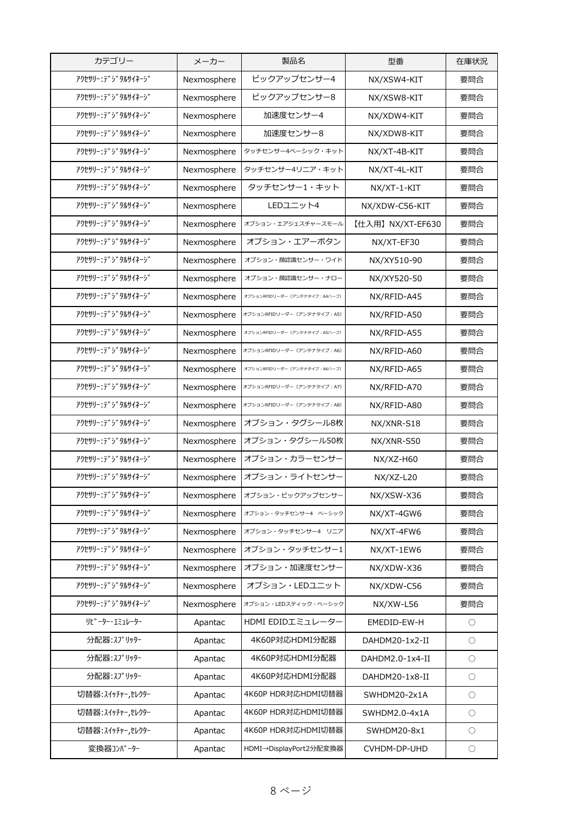| カテゴリー                | メーカー        | 製品名                            | 型番               | 在庫状況                |
|----------------------|-------------|--------------------------------|------------------|---------------------|
| アクセサリー・テ゛シ゛タルサイネーシ゛  | Nexmosphere | ピックアップセンサー4                    | NX/XSW4-KIT      | 要問合                 |
| アクセサリー:デジタルサイネージ     | Nexmosphere | ピックアップセンサー8                    | NX/XSW8-KIT      | 要問合                 |
| アクセサリー・テ゛シ゛タルサイネーシ゛  | Nexmosphere | 加速度センサー4                       | NX/XDW4-KIT      | 要問合                 |
| アクセサリー:デジタルサイネージ     | Nexmosphere | 加速度センサー8                       | NX/XDW8-KIT      | 要問合                 |
| アクセサリー:デジタルサイネージ     | Nexmosphere | タッチセンサー4ベーシック・キット              | NX/XT-4B-KIT     | 要問合                 |
| アクセサリー・テ゛シ゛タルサイネーシ゛  | Nexmosphere | タッチセンサー4リニア・キット                | NX/XT-4L-KIT     | 要問合                 |
| アクセサリー:テ゛ジタルサイネージ    | Nexmosphere | タッチセンサー1・キット                   | NX/XT-1-KIT      | 要問合                 |
| アクセサリー:デジタルサイネージ     | Nexmosphere | LEDユニット4                       | NX/XDW-C56-KIT   | 要問合                 |
| アクセサリー・テ゛シ゛タルサイネーシ゛  | Nexmosphere | オプション・エアジェスチャースモール             | 【仕入用】NX/XT-EF630 | 要問合                 |
| アクセサリー:デジタルサイネージ     | Nexmosphere | オプション・エアーボタン                   | NX/XT-EF30       | 要問合                 |
| アクセサリー・テ゛シ゛タルサイネーシ゛  | Nexmosphere | オプション・顔認識センサー・ワイド              | NX/XY510-90      | 要問合                 |
| アクセサリー・テ゛シ゛タルサイネーシ゛  | Nexmosphere | オプション・顔認識センサー・ナロー              | NX/XY520-50      | 要問合                 |
| アクセサリー・テ゛シ゛タルサイネーシ゛  | Nexmosphere | オプションRFIDリーダー (アンテナタイプ: A4ハーフ) | NX/RFID-A45      | 要問合                 |
| アクセサリー:デジタルサイネージ     | Nexmosphere | オプションRFIDリーダー (アンテナタイプ: A5)    | NX/RFID-A50      | 要問合                 |
| アクセサリー・テ゛シ゛タルサイネーシ゛  | Nexmosphere | オプションRFIDリーダー (アンテナタイプ: A5ハーフ) | NX/RFID-A55      | 要問合                 |
| アクセサリー:テ゛ジタルサイネージ    | Nexmosphere | オプションRFIDリーダー (アンテナタイプ: A6)    | NX/RFID-A60      | 要問合                 |
| アクセサリー:デジタルサイネージ     | Nexmosphere | オプションRFIDリーダー (アンテナタイプ: A6ハーフ) | NX/RFID-A65      | 要問合                 |
| アクセサリー・テ゛シ゛タルサイネーシ゛  | Nexmosphere | オプションRFIDリーダー (アンテナタイプ: A7)    | NX/RFID-A70      | 要問合                 |
| アクセサリー:デジタルサイネージ     | Nexmosphere | オプションRFIDリーダー (アンテナタイプ: A8)    | NX/RFID-A80      | 要問合                 |
| アクセサリー:デジタルサイネージ     | Nexmosphere | オプション・タグシール8枚                  | NX/XNR-S18       | 要問合                 |
| アクセサリー:デジタルサイネージ     | Nexmosphere | オプション・タグシール50枚                 | NX/XNR-S50       | 要問合                 |
| アクセサリー・テ゛ジタルサイネージ    | Nexmosphere | オプション・カラーセンサー                  | $NX/XZ-H60$      | 要問合                 |
| アクセサリー:デジタルサイネージ     | Nexmosphere | オプション・ライトセンサー                  | NX/XZ-L20        | 要問合                 |
| アクセサリー: テ゛ジタルサイネージ   | Nexmosphere | オプション・ピックアップセンサー               | NX/XSW-X36       | 要問合                 |
| アクセサリー・テ゛シ゛タルサイネーシ゛  | Nexmosphere | オプション・タッチセンサー4 ベーシック           | NX/XT-4GW6       | 要問合                 |
| アクセサリー・テ゛シ゛タルサイネーシ゛  | Nexmosphere | オプション・タッチセンサー4 リニア             | NX/XT-4FW6       | 要問合                 |
| アクセサリー・デ゛シ゛タルサイネーシ゛  | Nexmosphere | オプション・タッチセンサー1                 | NX/XT-1EW6       | 要問合                 |
| アクセサリー・テ゛シ゛タルサイネーシ゛  | Nexmosphere | オプション・加速度センサー                  | NX/XDW-X36       | 要問合                 |
| アクセサリー・デ゛ジ タルサイネージ   | Nexmosphere | オプション・LEDユニット                  | NX/XDW-C56       | 要問合                 |
| アクセサリー・テ゛シ゛タルサイネーシ゛  | Nexmosphere | オプション・LEDスティック・ベーシック           | NX/XW-L56        | 要問合                 |
| <b>リピーター・エミュレーター</b> | Apantac     | HDMI EDIDエミュレーター               | EMEDID-EW-H      | $\bigcirc$          |
| 分配器:スプリッター           | Apantac     | 4K60P対応HDMI分配器                 | DAHDM20-1x2-II   | $\circlearrowright$ |
| 分配器:スプリッター           | Apantac     | 4K60P対応HDMI分配器                 | DAHDM2.0-1x4-II  | $\bigcirc$          |
| 分配器: スプリッター          | Apantac     | 4K60P対応HDMI分配器                 | DAHDM20-1x8-II   | $\circlearrowright$ |
| 切替器:スイッチャー,セレクター     | Apantac     | 4K60P HDR対応HDMI切替器             | SWHDM20-2x1A     | $\bigcirc$          |
| 切替器: スイッチャー,セレクター    | Apantac     | 4K60P HDR対応HDMI切替器             | SWHDM2.0-4x1A    | $\bigcirc$          |
| 切替器: スイッチャー,セレクター    | Apantac     | 4K60P HDR対応HDMI切替器             | SWHDM20-8x1      | $\bigcirc$          |
| 変換器コンパーター            | Apantac     | HDMI→DisplayPort2分配変換器         | CVHDM-DP-UHD     | $\bigcirc$          |